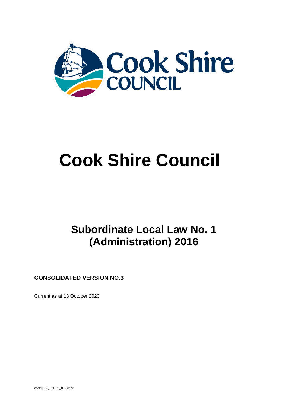

# **Cook Shire Council**

## **Subordinate Local Law No. 1 (Administration) 2016**

**CONSOLIDATED VERSION NO.3**

Current as at 13 October 2020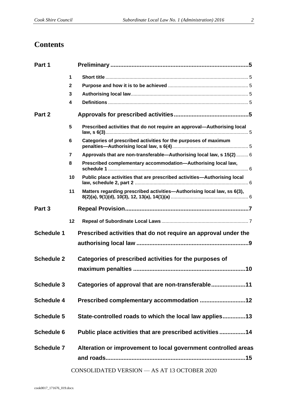### **Contents**

| Part 1            |                |                                                                          |  |
|-------------------|----------------|--------------------------------------------------------------------------|--|
|                   | 1              |                                                                          |  |
|                   | $\mathbf{2}$   |                                                                          |  |
|                   | 3              |                                                                          |  |
|                   | 4              |                                                                          |  |
| Part 2            |                |                                                                          |  |
|                   | 5              | Prescribed activities that do not require an approval—Authorising local  |  |
|                   | 6              | Categories of prescribed activities for the purposes of maximum          |  |
|                   | $\overline{7}$ | Approvals that are non-transferable-Authorising local law, s 15(2)  6    |  |
|                   | 8              | Prescribed complementary accommodation-Authorising local law,            |  |
|                   | 10             | Public place activities that are prescribed activities-Authorising local |  |
|                   | 11             | Matters regarding prescribed activities—Authorising local law, ss 6(3),  |  |
| Part 3            |                |                                                                          |  |
|                   | 12             |                                                                          |  |
| <b>Schedule 1</b> |                | Prescribed activities that do not require an approval under the          |  |
|                   |                |                                                                          |  |
| <b>Schedule 2</b> |                | Categories of prescribed activities for the purposes of                  |  |
|                   |                |                                                                          |  |
| <b>Schedule 3</b> |                | Categories of approval that are non-transferable11                       |  |
| <b>Schedule 4</b> |                |                                                                          |  |
| <b>Schedule 5</b> |                | State-controlled roads to which the local law applies13                  |  |
| Schedule 6        |                | Public place activities that are prescribed activities 14                |  |
| <b>Schedule 7</b> |                | Alteration or improvement to local government controlled areas           |  |
|                   |                | CONSOLIDATED VERSION - AS AT 13 OCTOBER 2020                             |  |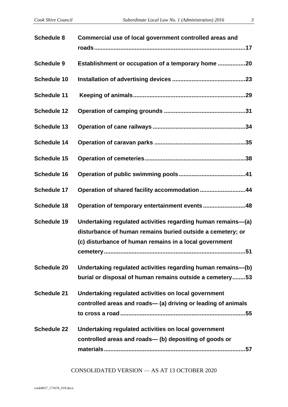| <b>Schedule 8</b>  | Commercial use of local government controlled areas and                                                                                                                              |
|--------------------|--------------------------------------------------------------------------------------------------------------------------------------------------------------------------------------|
| <b>Schedule 9</b>  | Establishment or occupation of a temporary home 20                                                                                                                                   |
| <b>Schedule 10</b> |                                                                                                                                                                                      |
| <b>Schedule 11</b> |                                                                                                                                                                                      |
| <b>Schedule 12</b> |                                                                                                                                                                                      |
| <b>Schedule 13</b> |                                                                                                                                                                                      |
| <b>Schedule 14</b> |                                                                                                                                                                                      |
| <b>Schedule 15</b> |                                                                                                                                                                                      |
| <b>Schedule 16</b> |                                                                                                                                                                                      |
| <b>Schedule 17</b> | Operation of shared facility accommodation 44                                                                                                                                        |
| <b>Schedule 18</b> | Operation of temporary entertainment events48                                                                                                                                        |
| <b>Schedule 19</b> | Undertaking regulated activities regarding human remains-(a)<br>disturbance of human remains buried outside a cemetery; or<br>(c) disturbance of human remains in a local government |
|                    |                                                                                                                                                                                      |

- **Schedule 20 [Undertaking regulated activities regarding human remains—\(b\)](#page-52-0)  [burial or disposal of human remains outside a cemetery........53](#page-52-0)**
- **Schedule 21 [Undertaking regulated activities on local government](#page-54-0)  controlled areas and roads— [\(a\) driving or leading of animals](#page-54-0)  [to cross a road.............................................................................55](#page-54-0)**
- **Schedule 22 [Undertaking regulated activities on local government](#page-56-0)  [controlled areas and roads—](#page-56-0) (b) depositing of goods or [materials.......................................................................................57](#page-56-0)**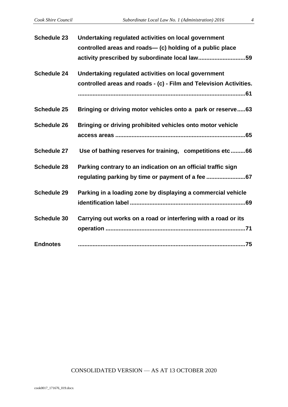| controlled areas and roads- (c) holding of a public place<br><b>Schedule 24</b><br>Undertaking regulated activities on local government<br><b>Schedule 25</b><br><b>Schedule 26</b><br>Bringing or driving prohibited vehicles onto motor vehicle<br><b>Schedule 27</b><br><b>Schedule 28</b><br>Parking contrary to an indication on an official traffic sign<br>Parking in a loading zone by displaying a commercial vehicle<br><b>Schedule 29</b><br><b>Schedule 30</b><br>Carrying out works on a road or interfering with a road or its | <b>Schedule 23</b> | Undertaking regulated activities on local government               |
|----------------------------------------------------------------------------------------------------------------------------------------------------------------------------------------------------------------------------------------------------------------------------------------------------------------------------------------------------------------------------------------------------------------------------------------------------------------------------------------------------------------------------------------------|--------------------|--------------------------------------------------------------------|
|                                                                                                                                                                                                                                                                                                                                                                                                                                                                                                                                              |                    |                                                                    |
|                                                                                                                                                                                                                                                                                                                                                                                                                                                                                                                                              |                    | activity prescribed by subordinate local law59                     |
|                                                                                                                                                                                                                                                                                                                                                                                                                                                                                                                                              |                    |                                                                    |
|                                                                                                                                                                                                                                                                                                                                                                                                                                                                                                                                              |                    | controlled areas and roads - (c) - Film and Television Activities. |
|                                                                                                                                                                                                                                                                                                                                                                                                                                                                                                                                              |                    |                                                                    |
|                                                                                                                                                                                                                                                                                                                                                                                                                                                                                                                                              |                    | Bringing or driving motor vehicles onto a park or reserve63        |
|                                                                                                                                                                                                                                                                                                                                                                                                                                                                                                                                              |                    |                                                                    |
|                                                                                                                                                                                                                                                                                                                                                                                                                                                                                                                                              |                    |                                                                    |
|                                                                                                                                                                                                                                                                                                                                                                                                                                                                                                                                              |                    | Use of bathing reserves for training, competitions etc 66          |
|                                                                                                                                                                                                                                                                                                                                                                                                                                                                                                                                              |                    |                                                                    |
|                                                                                                                                                                                                                                                                                                                                                                                                                                                                                                                                              |                    |                                                                    |
|                                                                                                                                                                                                                                                                                                                                                                                                                                                                                                                                              |                    |                                                                    |
|                                                                                                                                                                                                                                                                                                                                                                                                                                                                                                                                              |                    |                                                                    |
|                                                                                                                                                                                                                                                                                                                                                                                                                                                                                                                                              |                    |                                                                    |
|                                                                                                                                                                                                                                                                                                                                                                                                                                                                                                                                              |                    |                                                                    |
|                                                                                                                                                                                                                                                                                                                                                                                                                                                                                                                                              | <b>Endnotes</b>    |                                                                    |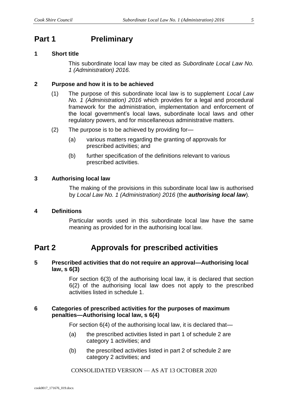### <span id="page-4-0"></span>**Part 1 Preliminary**

#### <span id="page-4-1"></span>**1 Short title**

This subordinate local law may be cited as *Subordinate Local Law No. 1 (Administration) 2016.*

#### <span id="page-4-2"></span>**2 Purpose and how it is to be achieved**

- (1) The purpose of this subordinate local law is to supplement *Local Law No. 1 (Administration) 2016* which provides for a legal and procedural framework for the administration, implementation and enforcement of the local government's local laws, subordinate local laws and other regulatory powers, and for miscellaneous administrative matters.
- (2) The purpose is to be achieved by providing for—
	- (a) various matters regarding the granting of approvals for prescribed activities; and
	- (b) further specification of the definitions relevant to various prescribed activities.

#### <span id="page-4-3"></span>**3 Authorising local law**

The making of the provisions in this subordinate local law is authorised by *Local Law No. 1 (Administration) 2016* (the *authorising local law*)*.*

#### <span id="page-4-4"></span>**4 Definitions**

Particular words used in this subordinate local law have the same meaning as provided for in the authorising local law.

### <span id="page-4-5"></span>**Part 2 Approvals for prescribed activities**

#### <span id="page-4-6"></span>**5 Prescribed activities that do not require an approval—Authorising local law, s 6(3)**

For section 6(3) of the authorising local law, it is declared that section 6(2) of the authorising local law does not apply to the prescribed activities listed in schedule 1.

#### <span id="page-4-7"></span>**6 Categories of prescribed activities for the purposes of maximum penalties—Authorising local law, s 6(4)**

For section 6(4) of the authorising local law, it is declared that—

- (a) the prescribed activities listed in part 1 of schedule 2 are category 1 activities; and
- (b) the prescribed activities listed in part 2 of schedule 2 are category 2 activities; and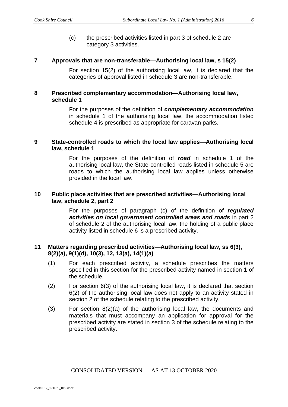(c) the prescribed activities listed in part 3 of schedule 2 are category 3 activities.

#### <span id="page-5-0"></span>**7 Approvals that are non-transferable—Authorising local law, s 15(2)**

For section 15(2) of the authorising local law, it is declared that the categories of approval listed in schedule 3 are non-transferable.

#### <span id="page-5-1"></span>**8 Prescribed complementary accommodation—Authorising local law, schedule 1**

For the purposes of the definition of *complementary accommodation* in schedule 1 of the authorising local law, the accommodation listed schedule 4 is prescribed as appropriate for caravan parks.

#### **9 State-controlled roads to which the local law applies—Authorising local law, schedule 1**

For the purposes of the definition of *road* in schedule 1 of the authorising local law, the State-controlled roads listed in schedule 5 are roads to which the authorising local law applies unless otherwise provided in the local law.

#### <span id="page-5-2"></span>**10 Public place activities that are prescribed activities—Authorising local law, schedule 2, part 2**

For the purposes of paragraph (c) of the definition of *regulated activities on local government controlled areas and roads* in part 2 of schedule 2 of the authorising local law, the holding of a public place activity listed in schedule 6 is a prescribed activity.

#### <span id="page-5-3"></span>**11 Matters regarding prescribed activities—Authorising local law, ss 6(3), 8(2)(a), 9(1)(d), 10(3), 12, 13(a), 14(1)(a)**

- (1) For each prescribed activity, a schedule prescribes the matters specified in this section for the prescribed activity named in section 1 of the schedule.
- (2) For section 6(3) of the authorising local law, it is declared that section 6(2) of the authorising local law does not apply to an activity stated in section 2 of the schedule relating to the prescribed activity.
- (3) For section 8(2)(a) of the authorising local law, the documents and materials that must accompany an application for approval for the prescribed activity are stated in section 3 of the schedule relating to the prescribed activity.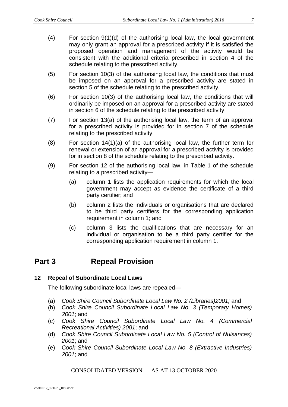- (4) For section 9(1)(d) of the authorising local law, the local government may only grant an approval for a prescribed activity if it is satisfied the proposed operation and management of the activity would be consistent with the additional criteria prescribed in section 4 of the schedule relating to the prescribed activity.
- (5) For section 10(3) of the authorising local law, the conditions that must be imposed on an approval for a prescribed activity are stated in section 5 of the schedule relating to the prescribed activity.
- (6) For section 10(3) of the authorising local law, the conditions that will ordinarily be imposed on an approval for a prescribed activity are stated in section 6 of the schedule relating to the prescribed activity.
- (7) For section 13(a) of the authorising local law, the term of an approval for a prescribed activity is provided for in section 7 of the schedule relating to the prescribed activity.
- (8) For section 14(1)(a) of the authorising local law, the further term for renewal or extension of an approval for a prescribed activity is provided for in section 8 of the schedule relating to the prescribed activity.
- (9) For section 12 of the authorising local law, in Table 1 of the schedule relating to a prescribed activity—
	- (a) column 1 lists the application requirements for which the local government may accept as evidence the certificate of a third party certifier; and
	- (b) column 2 lists the individuals or organisations that are declared to be third party certifiers for the corresponding application requirement in column 1; and
	- (c) column 3 lists the qualifications that are necessary for an individual or organisation to be a third party certifier for the corresponding application requirement in column 1.

### <span id="page-6-0"></span>**Part 3 Repeal Provision**

#### <span id="page-6-1"></span>**12 Repeal of Subordinate Local Laws**

The following subordinate local laws are repealed—

- (a) *Cook Shire Council Subordinate Local Law No. 2 (Libraries)2001;* and
- (b) *Cook Shire Council Subordinate Local Law No. 3 (Temporary Homes) 2001*; and
- (c) *Cook Shire Council Subordinate Local Law No. 4 (Commercial Recreational Activities) 2001*; and
- (d) *Cook Shire Council Subordinate Local Law No. 5 (Control of Nuisances) 2001*; and
- (e) *Cook Shire Council Subordinate Local Law No. 8 (Extractive Industries) 2001*; and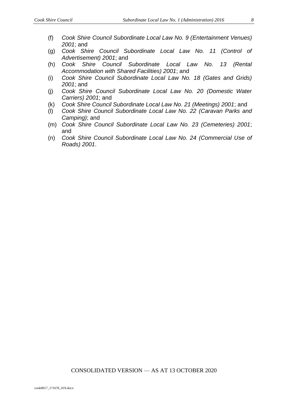- (f) *Cook Shire Council Subordinate Local Law No. 9 (Entertainment Venues) 2001*; and
- (g) *Cook Shire Council Subordinate Local Law No. 11 (Control of Advertisement) 2001*; and
- (h) *Cook Shire Council Subordinate Local Law No. 13 (Rental Accommodation with Shared Facilities) 2001*; and
- (i) *Cook Shire Council Subordinate Local Law No. 18 (Gates and Grids) 2001*; and
- (j) *Cook Shire Council Subordinate Local Law No. 20 (Domestic Water Carriers) 2001*; and
- (k) *Cook Shire Council Subordinate Local Law No. 21 (Meetings) 2001*; and
- (l) *Cook Shire Council Subordinate Local Law No. 22 (Caravan Parks and Camping)*; and
- (m) *Cook Shire Council Subordinate Local Law No. 23 (Cemeteries) 2001*; and
- (n) *Cook Shire Council Subordinate Local Law No. 24 (Commercial Use of Roads) 2001*.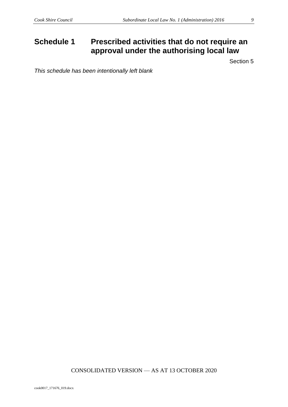### <span id="page-8-0"></span>**Schedule 1 Prescribed activities that do not require an approval under the authorising local law**

Section 5

*This schedule has been intentionally left blank*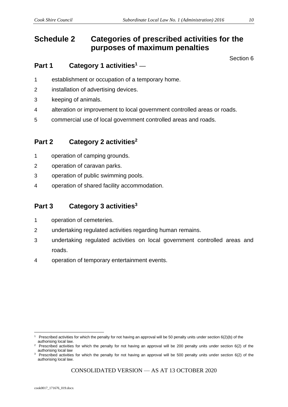### <span id="page-9-0"></span>**Schedule 2 Categories of prescribed activities for the purposes of maximum penalties**

Section 6

#### **Part 1 Category 1 activities<sup>1</sup>** ––

- 1 establishment or occupation of a temporary home.
- 2 installation of advertising devices.
- 3 keeping of animals.
- 4 alteration or improvement to local government controlled areas or roads.
- 5 commercial use of local government controlled areas and roads*.*

#### **Part 2 Category 2 activities<sup>2</sup>**

- 1 operation of camping grounds.
- 2 operation of caravan parks.
- 3 operation of public swimming pools.
- 4 operation of shared facility accommodation.

#### **Part 3 Category 3 activities<sup>3</sup>**

- 1 operation of cemeteries.
- 2 undertaking regulated activities regarding human remains.
- 3 undertaking regulated activities on local government controlled areas and roads.
- 4 operation of temporary entertainment events.

Prescribed activities for which the penalty for not having an approval will be 50 penalty units under section 6(2)(b) of the authorising local law.

<sup>&</sup>lt;sup>2</sup> Prescribed activities for which the penalty for not having an approval will be 200 penalty units under section 6(2) of the authorising local law

<sup>&</sup>lt;sup>3</sup> Prescribed activities for which the penalty for not having an approval will be 500 penalty units under section 6(2) of the authorising local law.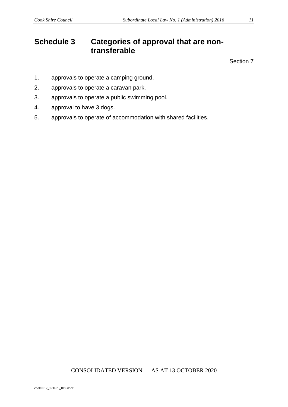### <span id="page-10-0"></span>**Schedule 3 Categories of approval that are nontransferable**

Section 7

- 1. approvals to operate a camping ground.
- 2. approvals to operate a caravan park.
- 3. approvals to operate a public swimming pool.
- 4. approval to have 3 dogs.
- 5. approvals to operate of accommodation with shared facilities.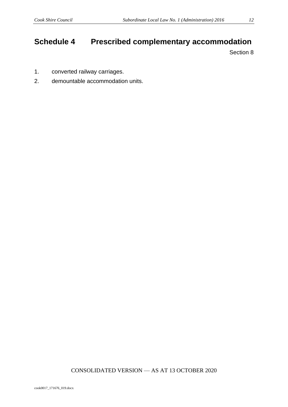### <span id="page-11-0"></span>**Schedule 4 Prescribed complementary accommodation**

Section 8

- 1. converted railway carriages.
- 2. demountable accommodation units.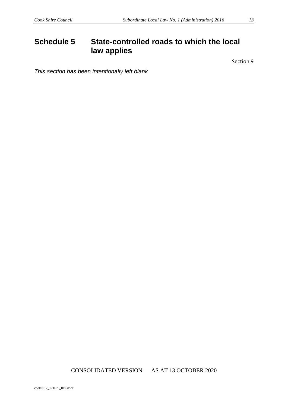### <span id="page-12-0"></span>**Schedule 5 State-controlled roads to which the local law applies**

Section 9

*This section has been intentionally left blank*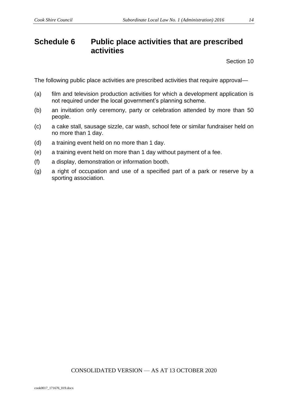### <span id="page-13-0"></span>**Schedule 6 Public place activities that are prescribed activities**

Section 10

The following public place activities are prescribed activities that require approval—

- (a) film and television production activities for which a development application is not required under the local government's planning scheme.
- (b) an invitation only ceremony, party or celebration attended by more than 50 people.
- (c) a cake stall, sausage sizzle, car wash, school fete or similar fundraiser held on no more than 1 day.
- (d) a training event held on no more than 1 day.
- (e) a training event held on more than 1 day without payment of a fee.
- (f) a display, demonstration or information booth.
- (g) a right of occupation and use of a specified part of a park or reserve by a sporting association.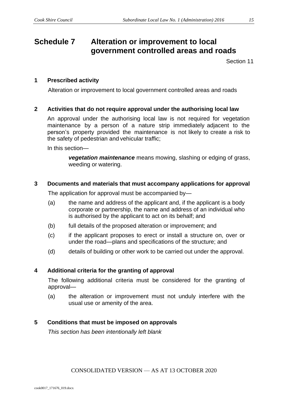### <span id="page-14-0"></span>**Schedule 7 Alteration or improvement to local government controlled areas and roads**

Section 11

#### **1 Prescribed activity**

Alteration or improvement to local government controlled areas and roads

#### **2 Activities that do not require approval under the authorising local law**

An approval under the authorising local law is not required for vegetation maintenance by a person of a nature strip immediately adjacent to the person's property provided the maintenance is not likely to create a risk to the safety of pedestrian and vehicular traffic;

In this section—

*vegetation maintenance* means mowing, slashing or edging of grass, weeding or watering.

#### **3 Documents and materials that must accompany applications for approval**

The application for approval must be accompanied by—

- (a) the name and address of the applicant and, if the applicant is a body corporate or partnership, the name and address of an individual who is authorised by the applicant to act on its behalf; and
- (b) full details of the proposed alteration or improvement; and
- (c) if the applicant proposes to erect or install a structure on, over or under the road—plans and specifications of the structure; and
- (d) details of building or other work to be carried out under the approval.

#### **4 Additional criteria for the granting of approval**

The following additional criteria must be considered for the granting of approval—

(a) the alteration or improvement must not unduly interfere with the usual use or amenity of the area.

#### **5 Conditions that must be imposed on approvals**

*This section has been intentionally left blank*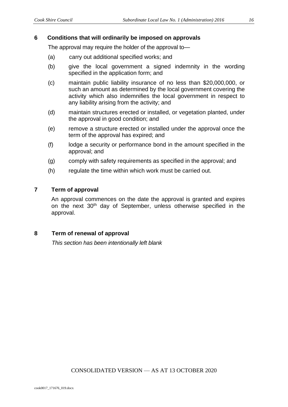#### **6 Conditions that will ordinarily be imposed on approvals**

The approval may require the holder of the approval to—

- (a) carry out additional specified works; and
- (b) give the local government a signed indemnity in the wording specified in the application form; and
- (c) maintain public liability insurance of no less than \$20,000,000, or such an amount as determined by the local government covering the activity which also indemnifies the local government in respect to any liability arising from the activity; and
- (d) maintain structures erected or installed, or vegetation planted, under the approval in good condition; and
- (e) remove a structure erected or installed under the approval once the term of the approval has expired; and
- (f) lodge a security or performance bond in the amount specified in the approval; and
- (g) comply with safety requirements as specified in the approval; and
- (h) regulate the time within which work must be carried out.

#### **7 Term of approval**

An approval commences on the date the approval is granted and expires on the next 30th day of September, unless otherwise specified in the approval.

#### **8 Term of renewal of approval**

*This section has been intentionally left blank*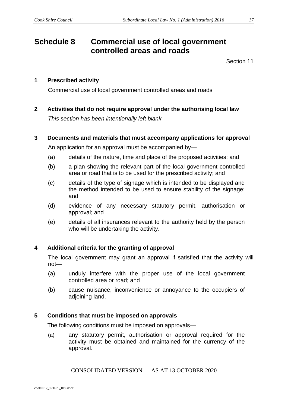### <span id="page-16-0"></span>**Schedule 8 Commercial use of local government controlled areas and roads**

Section 11

#### **1 Prescribed activity**

Commercial use of local government controlled areas and roads

**2 Activities that do not require approval under the authorising local law** *This section has been intentionally left blank*

#### **3 Documents and materials that must accompany applications for approval**

An application for an approval must be accompanied by—

- (a) details of the nature, time and place of the proposed activities; and
- (b) a plan showing the relevant part of the local government controlled area or road that is to be used for the prescribed activity; and
- (c) details of the type of signage which is intended to be displayed and the method intended to be used to ensure stability of the signage; and
- (d) evidence of any necessary statutory permit, authorisation or approval; and
- (e) details of all insurances relevant to the authority held by the person who will be undertaking the activity.

#### **4 Additional criteria for the granting of approval**

The local government may grant an approval if satisfied that the activity will not—

- (a) unduly interfere with the proper use of the local government controlled area or road; and
- (b) cause nuisance, inconvenience or annoyance to the occupiers of adjoining land.

#### **5 Conditions that must be imposed on approvals**

The following conditions must be imposed on approvals—

(a) any statutory permit, authorisation or approval required for the activity must be obtained and maintained for the currency of the approval.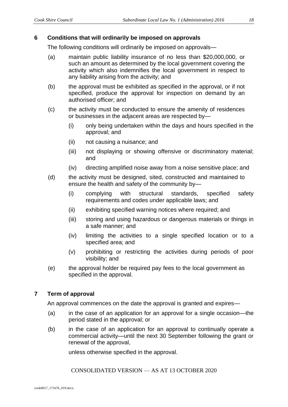#### **6 Conditions that will ordinarily be imposed on approvals**

The following conditions will ordinarily be imposed on approvals—

- (a) maintain public liability insurance of no less than \$20,000,000, or such an amount as determined by the local government covering the activity which also indemnifies the local government in respect to any liability arising from the activity; and
- (b) the approval must be exhibited as specified in the approval, or if not specified, produce the approval for inspection on demand by an authorised officer; and
- (c) the activity must be conducted to ensure the amenity of residences or businesses in the adjacent areas are respected by—
	- (i) only being undertaken within the days and hours specified in the approval; and
	- (ii) not causing a nuisance; and
	- (iii) not displaying or showing offensive or discriminatory material; and
	- (iv) directing amplified noise away from a noise sensitive place; and
- (d) the activity must be designed, sited, constructed and maintained to ensure the health and safety of the community by—
	- (i) complying with structural standards, specified safety requirements and codes under applicable laws; and
	- (ii) exhibiting specified warning notices where required; and
	- (iii) storing and using hazardous or dangerous materials or things in a safe manner; and
	- (iv) limiting the activities to a single specified location or to a specified area; and
	- (v) prohibiting or restricting the activities during periods of poor visibility; and
- (e) the approval holder be required pay fees to the local government as specified in the approval.

#### **7 Term of approval**

An approval commences on the date the approval is granted and expires—

- (a) in the case of an application for an approval for a single occasion—the period stated in the approval; or
- (b) in the case of an application for an approval to continually operate a commercial activity—until the next 30 September following the grant or renewal of the approval,

unless otherwise specified in the approval.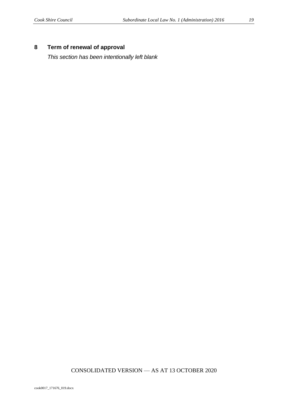#### **8 Term of renewal of approval**

*This section has been intentionally left blank*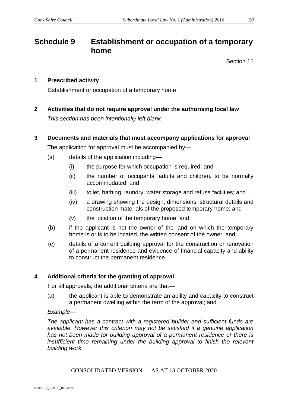### <span id="page-19-0"></span>**Schedule 9 Establishment or occupation of a temporary home**

Section 11

#### **1 Prescribed activity**

Establishment or occupation of a temporary home

**2 Activities that do not require approval under the authorising local law** *This section has been intentionally left blank* 

#### **3 Documents and materials that must accompany applications for approval**

The application for approval must be accompanied by—

- (a) details of the application including—
	- (i) the purpose for which occupation is required; and
	- (ii) the number of occupants, adults and children, to be normally accommodated; and
	- (iii) toilet, bathing, laundry, water storage and refuse facilities; and
	- (iv) a drawing showing the design, dimensions, structural details and construction materials of the proposed temporary home; and
	- (v) the location of the temporary home; and
- (b) if the applicant is not the owner of the land on which the temporary home is or is to be located, the written consent of the owner; and
- (c) details of a current building approval for the construction or renovation of a permanent residence and evidence of financial capacity and ability to construct the permanent residence.

#### **4 Additional criteria for the granting of approval**

For all approvals, the additional criteria are that—

(a) the applicant is able to demonstrate an ability and capacity to construct a permanent dwelling within the term of the approval; and

#### *Example—*

*The applicant has a contract with a registered builder and sufficient funds are available. However this criterion may not be satisfied if a genuine application has not been made for building approval of a permanent residence or there is insufficient time remaining under the building approval to finish the relevant building work.*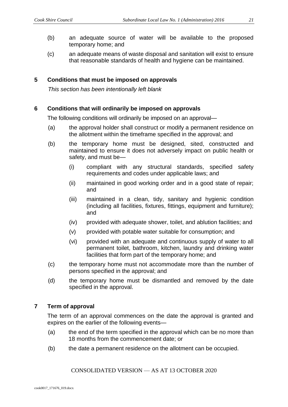- (b) an adequate source of water will be available to the proposed temporary home; and
- (c) an adequate means of waste disposal and sanitation will exist to ensure that reasonable standards of health and hygiene can be maintained.

#### **5 Conditions that must be imposed on approvals**

*This section has been intentionally left blank*

#### **6 Conditions that will ordinarily be imposed on approvals**

The following conditions will ordinarily be imposed on an approval—

- (a) the approval holder shall construct or modify a permanent residence on the allotment within the timeframe specified in the approval; and
- (b) the temporary home must be designed, sited, constructed and maintained to ensure it does not adversely impact on public health or safety, and must be—
	- (i) compliant with any structural standards, specified safety requirements and codes under applicable laws; and
	- (ii) maintained in good working order and in a good state of repair; and
	- (iii) maintained in a clean, tidy, sanitary and hygienic condition (including all facilities, fixtures, fittings, equipment and furniture); and
	- (iv) provided with adequate shower, toilet, and ablution facilities; and
	- (v) provided with potable water suitable for consumption; and
	- (vi) provided with an adequate and continuous supply of water to all permanent toilet, bathroom, kitchen, laundry and drinking water facilities that form part of the temporary home; and
- (c) the temporary home must not accommodate more than the number of persons specified in the approval; and
- (d) the temporary home must be dismantled and removed by the date specified in the approval.

#### **7 Term of approval**

The term of an approval commences on the date the approval is granted and expires on the earlier of the following events—

- (a) the end of the term specified in the approval which can be no more than 18 months from the commencement date; or
- (b) the date a permanent residence on the allotment can be occupied.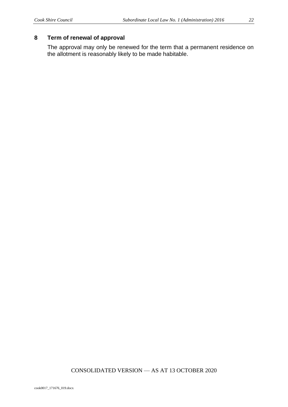#### **8 Term of renewal of approval**

The approval may only be renewed for the term that a permanent residence on the allotment is reasonably likely to be made habitable.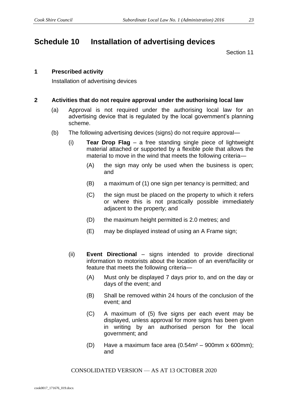### <span id="page-22-0"></span>**Schedule 10 Installation of advertising devices**

Section 11

#### **1 Prescribed activity**

Installation of advertising devices

#### **2 Activities that do not require approval under the authorising local law**

- (a) Approval is not required under the authorising local law for an advertising device that is regulated by the local government's planning scheme.
- (b) The following advertising devices (signs) do not require approval—
	- (i) **Tear Drop Flag**  a free standing single piece of lightweight material attached or supported by a flexible pole that allows the material to move in the wind that meets the following criteria—
		- (A) the sign may only be used when the business is open; and
		- (B) a maximum of (1) one sign per tenancy is permitted; and
		- (C) the sign must be placed on the property to which it refers or where this is not practically possible immediately adjacent to the property; and
		- (D) the maximum height permitted is 2.0 metres; and
		- (E) may be displayed instead of using an A Frame sign;
	- (ii) **Event Directional**  signs intended to provide directional information to motorists about the location of an event/facility or feature that meets the following criteria—
		- (A) Must only be displayed 7 days prior to, and on the day or days of the event; and
		- (B) Shall be removed within 24 hours of the conclusion of the event; and
		- (C) A maximum of (5) five signs per each event may be displayed, unless approval for more signs has been given in writing by an authorised person for the local government; and
		- (D) Have a maximum face area  $(0.54m<sup>2</sup> 900mm \times 600mm)$ ; and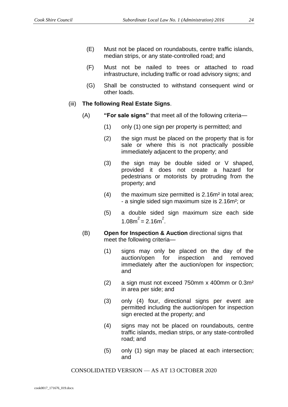- (E) Must not be placed on roundabouts, centre traffic islands, median strips, or any state-controlled road; and
- (F) Must not be nailed to trees or attached to road infrastructure, including traffic or road advisory signs; and
- (G) Shall be constructed to withstand consequent wind or other loads.

#### (iii) **The following Real Estate Signs**.

- (A) **"For sale signs"** that meet all of the following criteria—
	- (1) only (1) one sign per property is permitted; and
	- (2) the sign must be placed on the property that is for sale or where this is not practically possible immediately adjacent to the property; and
	- (3) the sign may be double sided or V shaped, provided it does not create a hazard for pedestrians or motorists by protruding from the property; and
	- $(4)$  the maximum size permitted is 2.16m<sup>2</sup> in total area; - a single sided sign maximum size is 2.16m²; or
	- (5) a double sided sign maximum size each side  $1.08m^2 = 2.16m^2$ .
- (B) **Open for Inspection & Auction** directional signs that meet the following criteria—
	- (1) signs may only be placed on the day of the auction/open for inspection and removed immediately after the auction/open for inspection; and
	- (2) a sign must not exceed 750mm x 400mm or 0.3m² in area per side; and
	- (3) only (4) four, directional signs per event are permitted including the auction/open for inspection sign erected at the property; and
	- (4) signs may not be placed on roundabouts, centre traffic islands, median strips, or any state-controlled road; and
	- (5) only (1) sign may be placed at each intersection; and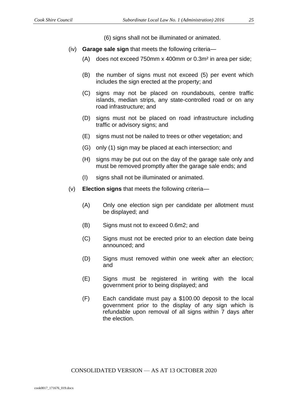(6) signs shall not be illuminated or animated.

- (iv) **Garage sale sign** that meets the following criteria—
	- (A) does not exceed 750mm x 400mm or 0.3m² in area per side;
	- (B) the number of signs must not exceed (5) per event which includes the sign erected at the property; and
	- (C) signs may not be placed on roundabouts, centre traffic islands, median strips, any state-controlled road or on any road infrastructure; and
	- (D) signs must not be placed on road infrastructure including traffic or advisory signs; and
	- (E) signs must not be nailed to trees or other vegetation; and
	- (G) only (1) sign may be placed at each intersection; and
	- (H) signs may be put out on the day of the garage sale only and must be removed promptly after the garage sale ends; and
	- (I) signs shall not be illuminated or animated.
- (v) **Election signs** that meets the following criteria—
	- (A) Only one election sign per candidate per allotment must be displayed; and
	- (B) Signs must not to exceed 0.6m2; and
	- (C) Signs must not be erected prior to an election date being announced; and
	- (D) Signs must removed within one week after an election; and
	- (E) Signs must be registered in writing with the local government prior to being displayed; and
	- (F) Each candidate must pay a \$100.00 deposit to the local government prior to the display of any sign which is refundable upon removal of all signs within 7 days after the election.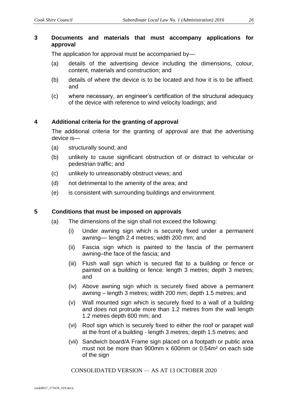#### **3 Documents and materials that must accompany applications for approval**

The application for approval must be accompanied by—

- (a) details of the advertising device including the dimensions, colour, content, materials and construction; and
- (b) details of where the device is to be located and how it is to be affixed; and
- (c) where necessary, an engineer's certification of the structural adequacy of the device with reference to wind velocity loadings; and

#### **4 Additional criteria for the granting of approval**

The additional criteria for the granting of approval are that the advertising device is—

- (a) structurally sound; and
- (b) unlikely to cause significant obstruction of or distract to vehicular or pedestrian traffic; and
- (c) unlikely to unreasonably obstruct views; and
- (d) not detrimental to the amenity of the area; and
- (e) is consistent with surrounding buildings and environment.

#### **5 Conditions that must be imposed on approvals**

- (a) The dimensions of the sign shall not exceed the following:
	- (i) Under awning sign which is securely fixed under a permanent awning–– length 2.4 metres; width 200 mm; and
	- (ii) Fascia sign which is painted to the fascia of the permanent awning–the face of the fascia; and
	- (iii) Flush wall sign which is secured flat to a building or fence or painted on a building or fence: length 3 metres; depth 3 metres; and
	- (iv) Above awning sign which is securely fixed above a permanent awning – length 3 metres; width 200 mm; depth 1.5 metres; and
	- (v) Wall mounted sign which is securely fixed to a wall of a building and does not protrude more than 1.2 metres from the wall length 1.2 metres depth 600 mm; and
	- (vi) Roof sign which is securely fixed to either the roof or parapet wall at the front of a building - length 3 metres; depth 1.5 metres; and
	- (vii) Sandwich board/A Frame sign placed on a footpath or public area must not be more than 900mm x 600mm or 0.54m² on each side of the sign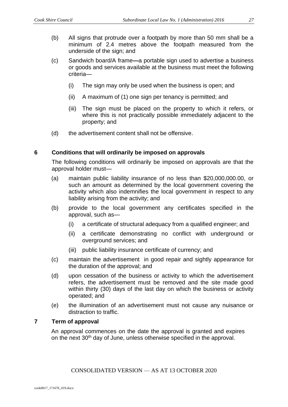- (b) All signs that protrude over a footpath by more than 50 mm shall be a minimum of 2.4 metres above the footpath measured from the underside of the sign; and
- (c) Sandwich board/A frame**—**a portable sign used to advertise a business or goods and services available at the business must meet the following criteria—
	- (i) The sign may only be used when the business is open; and
	- (ii) A maximum of (1) one sign per tenancy is permitted; and
	- (iii) The sign must be placed on the property to which it refers, or where this is not practically possible immediately adjacent to the property; and
- (d) the advertisement content shall not be offensive.

#### **6 Conditions that will ordinarily be imposed on approvals**

The following conditions will ordinarily be imposed on approvals are that the approval holder must—

- (a) maintain public liability insurance of no less than \$20,000,000.00, or such an amount as determined by the local government covering the activity which also indemnifies the local government in respect to any liability arising from the activity; and
- (b) provide to the local government any certificates specified in the approval, such as—
	- (i) a certificate of structural adequacy from a qualified engineer; and
	- (ii) a certificate demonstrating no conflict with underground or overground services; and
	- (iii) public liability insurance certificate of currency; and
- (c) maintain the advertisement in good repair and sightly appearance for the duration of the approval; and
- (d) upon cessation of the business or activity to which the advertisement refers, the advertisement must be removed and the site made good within thirty (30) days of the last day on which the business or activity operated; and
- (e) the illumination of an advertisement must not cause any nuisance or distraction to traffic.

#### **7 Term of approval**

An approval commences on the date the approval is granted and expires on the next 30th day of June, unless otherwise specified in the approval.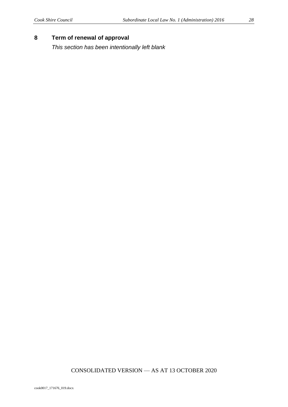#### **8 Term of renewal of approval**

*This section has been intentionally left blank*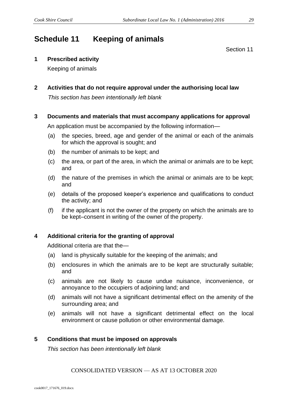### <span id="page-28-0"></span>**Schedule 11 Keeping of animals**

Section 11

#### **1 Prescribed activity**

Keeping of animals

### **2 Activities that do not require approval under the authorising local law**

*This section has been intentionally left blank*

#### **3 Documents and materials that must accompany applications for approval**

An application must be accompanied by the following information—

- (a) the species, breed, age and gender of the animal or each of the animals for which the approval is sought; and
- (b) the number of animals to be kept; and
- (c) the area, or part of the area, in which the animal or animals are to be kept; and
- (d) the nature of the premises in which the animal or animals are to be kept; and
- (e) details of the proposed keeper's experience and qualifications to conduct the activity; and
- (f) if the applicant is not the owner of the property on which the animals are to be kept–consent in writing of the owner of the property.

#### **4 Additional criteria for the granting of approval**

Additional criteria are that the—

- (a) land is physically suitable for the keeping of the animals; and
- (b) enclosures in which the animals are to be kept are structurally suitable; and
- (c) animals are not likely to cause undue nuisance, inconvenience, or annoyance to the occupiers of adjoining land; and
- (d) animals will not have a significant detrimental effect on the amenity of the surrounding area; and
- (e) animals will not have a significant detrimental effect on the local environment or cause pollution or other environmental damage.

#### **5 Conditions that must be imposed on approvals**

*This section has been intentionally left blank*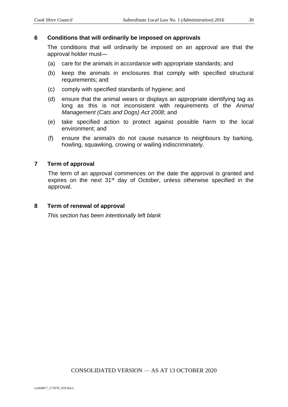#### **6 Conditions that will ordinarily be imposed on approvals**

The conditions that will ordinarily be imposed on an approval are that the approval holder must—

- (a) care for the animals in accordance with appropriate standards; and
- (b) keep the animals in enclosures that comply with specified structural requirements; and
- (c) comply with specified standards of hygiene; and
- (d) ensure that the animal wears or displays an appropriate identifying tag as long as this is not inconsistent with requirements of the *Animal Management (Cats and Dogs) Act 2008*; and
- (e) take specified action to protect against possible harm to the local environment; and
- (f) ensure the animal/s do not cause nuisance to neighbours by barking, howling, squawking, crowing or wailing indiscriminately.

#### **7 Term of approval**

The term of an approval commences on the date the approval is granted and expires on the next 31<sup>st</sup> day of October, unless otherwise specified in the approval.

#### **8 Term of renewal of approval**

*This section has been intentionally left blank*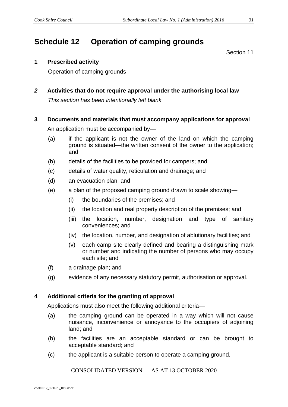### <span id="page-30-0"></span>**Schedule 12 Operation of camping grounds**

Section 11

#### **1 Prescribed activity**

Operation of camping grounds

*2* **Activities that do not require approval under the authorising local law** *This section has been intentionally left blank*

#### **3 Documents and materials that must accompany applications for approval**

An application must be accompanied by—

- (a) if the applicant is not the owner of the land on which the camping ground is situated—the written consent of the owner to the application; and
- (b) details of the facilities to be provided for campers; and
- (c) details of water quality, reticulation and drainage; and
- (d) an evacuation plan; and
- (e) a plan of the proposed camping ground drawn to scale showing—
	- (i) the boundaries of the premises; and
	- (ii) the location and real property description of the premises; and
	- (iii) the location, number, designation and type of sanitary conveniences; and
	- (iv) the location, number, and designation of ablutionary facilities; and
	- (v) each camp site clearly defined and bearing a distinguishing mark or number and indicating the number of persons who may occupy each site; and
- (f) a drainage plan; and
- (g) evidence of any necessary statutory permit, authorisation or approval.

#### **4 Additional criteria for the granting of approval**

Applications must also meet the following additional criteria—

- (a) the camping ground can be operated in a way which will not cause nuisance, inconvenience or annoyance to the occupiers of adjoining land; and
- (b) the facilities are an acceptable standard or can be brought to acceptable standard; and
- (c) the applicant is a suitable person to operate a camping ground.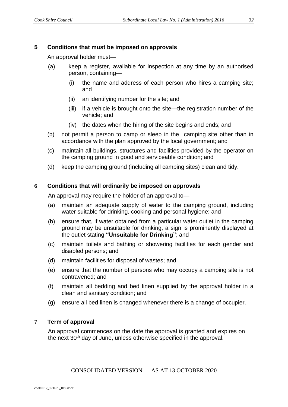#### **5 Conditions that must be imposed on approvals**

An approval holder must—

- (a) keep a register, available for inspection at any time by an authorised person, containing—
	- (i) the name and address of each person who hires a camping site; and
	- (ii) an identifying number for the site; and
	- (iii) if a vehicle is brought onto the site—the registration number of the vehicle; and
	- (iv) the dates when the hiring of the site begins and ends; and
- (b) not permit a person to camp or sleep in the camping site other than in accordance with the plan approved by the local government; and
- (c) maintain all buildings, structures and facilities provided by the operator on the camping ground in good and serviceable condition; and
- (d) keep the camping ground (including all camping sites) clean and tidy.

#### **6 Conditions that will ordinarily be imposed on approvals**

An approval may require the holder of an approval to—

- (a) maintain an adequate supply of water to the camping ground, including water suitable for drinking, cooking and personal hygiene; and
- (b) ensure that, if water obtained from a particular water outlet in the camping ground may be unsuitable for drinking, a sign is prominently displayed at the outlet stating **"Unsuitable for Drinking"**; and
- (c) maintain toilets and bathing or showering facilities for each gender and disabled persons; and
- (d) maintain facilities for disposal of wastes; and
- (e) ensure that the number of persons who may occupy a camping site is not contravened; and
- (f) maintain all bedding and bed linen supplied by the approval holder in a clean and sanitary condition; and
- (g) ensure all bed linen is changed whenever there is a change of occupier.

#### **7 Term of approval**

An approval commences on the date the approval is granted and expires on the next 30<sup>th</sup> day of June, unless otherwise specified in the approval.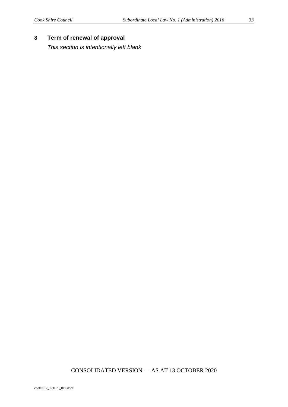*This section is intentionally left blank*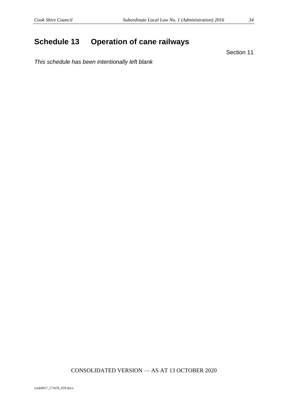### <span id="page-33-0"></span>**Schedule 13 Operation of cane railways**

Section 11

*This schedule has been intentionally left blank*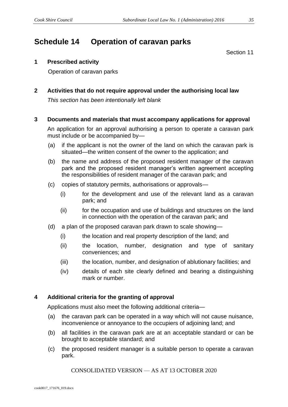### <span id="page-34-0"></span>**Schedule 14 Operation of caravan parks**

Section 11

#### **1 Prescribed activity**

Operation of caravan parks

**2 Activities that do not require approval under the authorising local law** *This section has been intentionally left blank*

#### **3 Documents and materials that must accompany applications for approval**

An application for an approval authorising a person to operate a caravan park must include or be accompanied by—

- (a) if the applicant is not the owner of the land on which the caravan park is situated—the written consent of the owner to the application; and
- (b) the name and address of the proposed resident manager of the caravan park and the proposed resident manager's written agreement accepting the responsibilities of resident manager of the caravan park; and
- (c) copies of statutory permits, authorisations or approvals—
	- (i) for the development and use of the relevant land as a caravan park; and
	- (ii) for the occupation and use of buildings and structures on the land in connection with the operation of the caravan park; and
- (d) a plan of the proposed caravan park drawn to scale showing—
	- (i) the location and real property description of the land; and
	- (ii) the location, number, designation and type of sanitary conveniences; and
	- (iii) the location, number, and designation of ablutionary facilities; and
	- (iv) details of each site clearly defined and bearing a distinguishing mark or number.

#### **4 Additional criteria for the granting of approval**

Applications must also meet the following additional criteria—

- (a) the caravan park can be operated in a way which will not cause nuisance, inconvenience or annoyance to the occupiers of adjoining land; and
- (b) all facilities in the caravan park are at an acceptable standard or can be brought to acceptable standard; and
- (c) the proposed resident manager is a suitable person to operate a caravan park.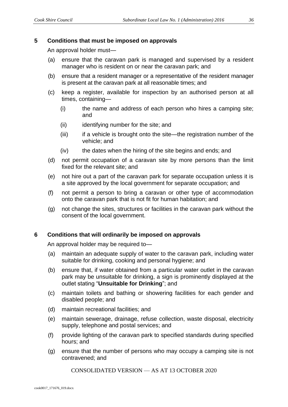#### **5 Conditions that must be imposed on approvals**

An approval holder must—

- (a) ensure that the caravan park is managed and supervised by a resident manager who is resident on or near the caravan park; and
- (b) ensure that a resident manager or a representative of the resident manager is present at the caravan park at all reasonable times; and
- (c) keep a register, available for inspection by an authorised person at all times, containing—
	- (i) the name and address of each person who hires a camping site; and
	- (ii) identifying number for the site; and
	- (iii) if a vehicle is brought onto the site—the registration number of the vehicle; and
	- (iv) the dates when the hiring of the site begins and ends; and
- (d) not permit occupation of a caravan site by more persons than the limit fixed for the relevant site; and
- (e) not hire out a part of the caravan park for separate occupation unless it is a site approved by the local government for separate occupation; and
- (f) not permit a person to bring a caravan or other type of accommodation onto the caravan park that is not fit for human habitation; and
- (g) not change the sites, structures or facilities in the caravan park without the consent of the local government.

#### **6 Conditions that will ordinarily be imposed on approvals**

An approval holder may be required to—

- (a) maintain an adequate supply of water to the caravan park, including water suitable for drinking, cooking and personal hygiene; and
- (b) ensure that, if water obtained from a particular water outlet in the caravan park may be unsuitable for drinking, a sign is prominently displayed at the outlet stating "**Unsuitable for Drinking**"; and
- (c) maintain toilets and bathing or showering facilities for each gender and disabled people; and
- (d) maintain recreational facilities; and
- (e) maintain sewerage, drainage, refuse collection, waste disposal, electricity supply, telephone and postal services; and
- (f) provide lighting of the caravan park to specified standards during specified hours; and
- (g) ensure that the number of persons who may occupy a camping site is not contravened; and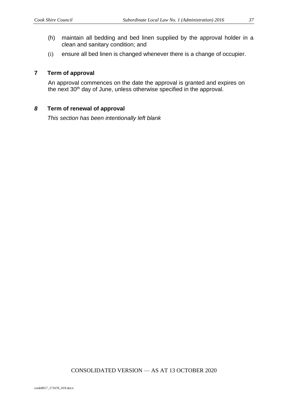- (h) maintain all bedding and bed linen supplied by the approval holder in a clean and sanitary condition; and
- (i) ensure all bed linen is changed whenever there is a change of occupier.

#### **7 Term of approval**

An approval commences on the date the approval is granted and expires on the next 30<sup>th</sup> day of June, unless otherwise specified in the approval.

### *8* **Term of renewal of approval**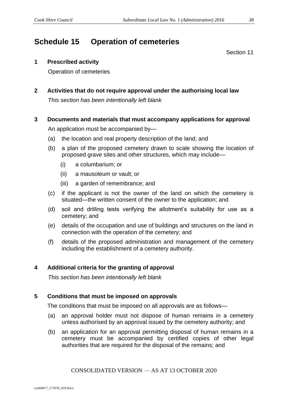# **Schedule 15 Operation of cemeteries**

Section 11

#### **1 Prescribed activity**

Operation of cemeteries

**2 Activities that do not require approval under the authorising local law** *This section has been intentionally left blank*

#### **3 Documents and materials that must accompany applications for approval**

An application must be accompanied by—

- (a) the location and real property description of the land; and
- (b) a plan of the proposed cemetery drawn to scale showing the location of proposed grave sites and other structures, which may include—
	- (i) a columbarium; or
	- (ii) a mausoleum or vault; or
	- (iii) a garden of remembrance; and
- (c) if the applicant is not the owner of the land on which the cemetery is situated—the written consent of the owner to the application; and
- (d) soil and drilling tests verifying the allotment's suitability for use as a cemetery; and
- (e) details of the occupation and use of buildings and structures on the land in connection with the operation of the cemetery; and
- (f) details of the proposed administration and management of the cemetery including the establishment of a cemetery authority.

#### **4 Additional criteria for the granting of approval**

*This section has been intentionally left blank* 

#### **5 Conditions that must be imposed on approvals**

The conditions that must be imposed on all approvals are as follows—

- (a) an approval holder must not dispose of human remains in a cemetery unless authorised by an approval issued by the cemetery authority; and
- (b) an application for an approval permitting disposal of human remains in a cemetery must be accompanied by certified copies of other legal authorities that are required for the disposal of the remains; and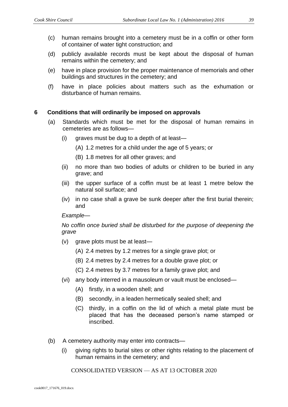- (c) human remains brought into a cemetery must be in a coffin or other form of container of water tight construction; and
- (d) publicly available records must be kept about the disposal of human remains within the cemetery; and
- (e) have in place provision for the proper maintenance of memorials and other buildings and structures in the cemetery; and
- (f) have in place policies about matters such as the exhumation or disturbance of human remains.

#### **6 Conditions that will ordinarily be imposed on approvals**

- (a) Standards which must be met for the disposal of human remains in cemeteries are as follows—
	- (i) graves must be dug to a depth of at least—
		- (A) 1.2 metres for a child under the age of 5 years; or
		- (B) 1.8 metres for all other graves; and
	- (ii) no more than two bodies of adults or children to be buried in any grave; and
	- (iii) the upper surface of a coffin must be at least 1 metre below the natural soil surface; and
	- (iv) in no case shall a grave be sunk deeper after the first burial therein; and

#### *Example*—

*No coffin once buried shall be disturbed for the purpose of deepening the grave*

- (v) grave plots must be at least—
	- (A) 2.4 metres by 1.2 metres for a single grave plot; or
	- (B) 2.4 metres by 2.4 metres for a double grave plot; or
	- (C) 2.4 metres by 3.7 metres for a family grave plot; and
- (vi) any body interred in a mausoleum or vault must be enclosed—
	- (A) firstly, in a wooden shell; and
	- (B) secondly, in a leaden hermetically sealed shell; and
	- (C) thirdly, in a coffin on the lid of which a metal plate must be placed that has the deceased person's name stamped or inscribed.
- (b) A cemetery authority may enter into contracts—
	- (i) giving rights to burial sites or other rights relating to the placement of human remains in the cemetery; and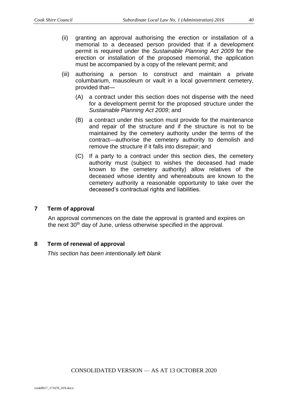- (ii) granting an approval authorising the erection or installation of a memorial to a deceased person provided that if a development permit is required under the *Sustainable Planning Act 2009* for the erection or installation of the proposed memorial, the application must be accompanied by a copy of the relevant permit; and
- (iii) authorising a person to construct and maintain a private columbarium, mausoleum or vault in a local government cemetery, provided that—
	- (A) a contract under this section does not dispense with the need for a development permit for the proposed structure under the *Sustainable Planning Act 2009*; and
	- (B) a contract under this section must provide for the maintenance and repair of the structure and if the structure is not to be maintained by the cemetery authority under the terms of the contract—authorise the cemetery authority to demolish and remove the structure if it falls into disrepair; and
	- (C) If a party to a contract under this section dies, the cemetery authority must (subject to wishes the deceased had made known to the cemetery authority) allow relatives of the deceased whose identity and whereabouts are known to the cemetery authority a reasonable opportunity to take over the deceased's contractual rights and liabilities.

#### **7 Term of approval**

An approval commences on the date the approval is granted and expires on the next 30<sup>th</sup> day of June, unless otherwise specified in the approval.

## **8 Term of renewal of approval**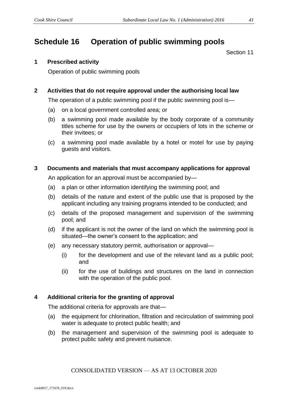# **Schedule 16 Operation of public swimming pools**

Section 11

### **1 Prescribed activity**

Operation of public swimming pools

### **2 Activities that do not require approval under the authorising local law**

The operation of a public swimming pool if the public swimming pool is—

- (a) on a local government controlled area; or
- (b) a swimming pool made available by the body corporate of a community titles scheme for use by the owners or occupiers of lots in the scheme or their invitees; or
- (c) a swimming pool made available by a hotel or motel for use by paying guests and visitors.

### **3 Documents and materials that must accompany applications for approval**

An application for an approval must be accompanied by—

- (a) a plan or other information identifying the swimming pool; and
- (b) details of the nature and extent of the public use that is proposed by the applicant including any training programs intended to be conducted; and
- (c) details of the proposed management and supervision of the swimming pool; and
- (d) if the applicant is not the owner of the land on which the swimming pool is situated—the owner's consent to the application; and
- (e) any necessary statutory permit, authorisation or approval—
	- (i) for the development and use of the relevant land as a public pool; and
	- (ii) for the use of buildings and structures on the land in connection with the operation of the public pool.

#### **4 Additional criteria for the granting of approval**

The additional criteria for approvals are that—

- (a) the equipment for chlorination, filtration and recirculation of swimming pool water is adequate to protect public health; and
- (b) the management and supervision of the swimming pool is adequate to protect public safety and prevent nuisance.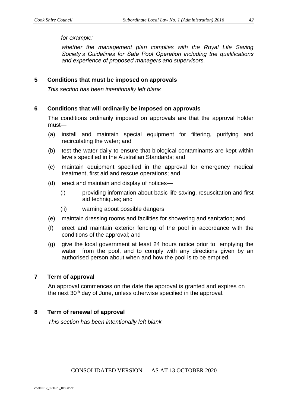*for example:* 

*whether the management plan complies with the Royal Life Saving Society's Guidelines for Safe Pool Operation including the qualifications and experience of proposed managers and supervisors.* 

#### **5 Conditions that must be imposed on approvals**

*This section has been intentionally left blank*

#### **6 Conditions that will ordinarily be imposed on approvals**

The conditions ordinarily imposed on approvals are that the approval holder must—

- (a) install and maintain special equipment for filtering, purifying and recirculating the water; and
- (b) test the water daily to ensure that biological contaminants are kept within levels specified in the Australian Standards; and
- (c) maintain equipment specified in the approval for emergency medical treatment, first aid and rescue operations; and
- (d) erect and maintain and display of notices—
	- (i) providing information about basic life saving, resuscitation and first aid techniques; and
	- (ii) warning about possible dangers
- (e) maintain dressing rooms and facilities for showering and sanitation; and
- (f) erect and maintain exterior fencing of the pool in accordance with the conditions of the approval; and
- (g) give the local government at least 24 hours notice prior to emptying the water from the pool, and to comply with any directions given by an authorised person about when and how the pool is to be emptied.

#### **7 Term of approval**

An approval commences on the date the approval is granted and expires on the next 30<sup>th</sup> day of June, unless otherwise specified in the approval.

#### **8 Term of renewal of approval**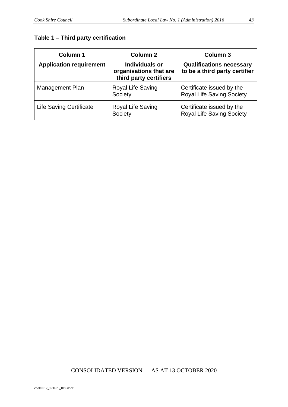# **Table 1 – Third party certification**

| <b>Column 1</b><br><b>Application requirement</b> | Column <sub>2</sub><br><b>Individuals or</b><br>organisations that are<br>third party certifiers | <b>Column 3</b><br><b>Qualifications necessary</b><br>to be a third party certifier |
|---------------------------------------------------|--------------------------------------------------------------------------------------------------|-------------------------------------------------------------------------------------|
| Management Plan                                   | Royal Life Saving<br>Society                                                                     | Certificate issued by the<br><b>Royal Life Saving Society</b>                       |
| <b>Life Saving Certificate</b>                    | Royal Life Saving<br>Society                                                                     | Certificate issued by the<br><b>Royal Life Saving Society</b>                       |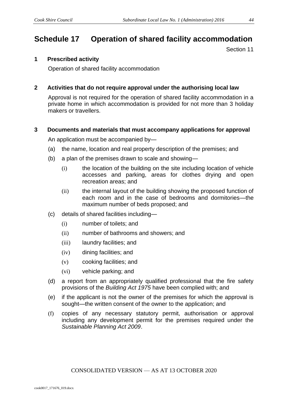# **Schedule 17 Operation of shared facility accommodation**

Section 11

#### **1 Prescribed activity**

Operation of shared facility accommodation

#### **2 Activities that do not require approval under the authorising local law**

Approval is not required for the operation of shared facility accommodation in a private home in which accommodation is provided for not more than 3 holiday makers or travellers.

#### **3 Documents and materials that must accompany applications for approval**

An application must be accompanied by—

- (a) the name, location and real property description of the premises; and
- (b) a plan of the premises drawn to scale and showing—
	- (i) the location of the building on the site including location of vehicle accesses and parking, areas for clothes drying and open recreation areas; and
	- (ii) the internal layout of the building showing the proposed function of each room and in the case of bedrooms and dormitories—the maximum number of beds proposed; and
- (c) details of shared facilities including—
	- (i) number of toilets; and
	- (ii) number of bathrooms and showers; and
	- (iii) laundry facilities; and
	- (iv) dining facilities; and
	- (v) cooking facilities; and
	- (vi) vehicle parking; and
- (d) a report from an appropriately qualified professional that the fire safety provisions of the *Building Act 1975* have been complied with; and
- (e) if the applicant is not the owner of the premises for which the approval is sought—the written consent of the owner to the application; and
- (f) copies of any necessary statutory permit, authorisation or approval including any development permit for the premises required under the *Sustainable Planning Act 2009*.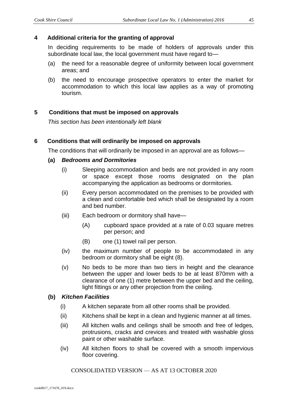### **4 Additional criteria for the granting of approval**

In deciding requirements to be made of holders of approvals under this subordinate local law, the local government must have regard to—

- (a) the need for a reasonable degree of uniformity between local government areas; and
- (b) the need to encourage prospective operators to enter the market for accommodation to which this local law applies as a way of promoting tourism.

### **5 Conditions that must be imposed on approvals**

*This section has been intentionally left blank*

#### **6 Conditions that will ordinarily be imposed on approvals**

The conditions that will ordinarily be imposed in an approval are as follows—

#### **(a)** *Bedrooms and Dormitories*

- (i) Sleeping accommodation and beds are not provided in any room or space except those rooms designated on the plan accompanying the application as bedrooms or dormitories.
- (ii) Every person accommodated on the premises to be provided with a clean and comfortable bed which shall be designated by a room and bed number.
- (iii) Each bedroom or dormitory shall have—
	- (A) cupboard space provided at a rate of 0.03 square metres per person; and
	- (B) one (1) towel rail per person.
- (iv) the maximum number of people to be accommodated in any bedroom or dormitory shall be eight (8).
- (v) No beds to be more than two tiers in height and the clearance between the upper and lower beds to be at least 870mm with a clearance of one (1) metre between the upper bed and the ceiling, light fittings or any other projection from the ceiling.

#### **(b)** *Kitchen Facilities*

- (i) A kitchen separate from all other rooms shall be provided.
- (ii) Kitchens shall be kept in a clean and hygienic manner at all times.
- (iii) All kitchen walls and ceilings shall be smooth and free of ledges, protrusions, cracks and crevices and treated with washable gloss paint or other washable surface.
- (iv) All kitchen floors to shall be covered with a smooth impervious floor covering.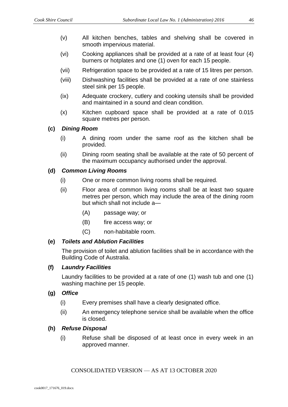- (v) All kitchen benches, tables and shelving shall be covered in smooth impervious material.
- (vi) Cooking appliances shall be provided at a rate of at least four (4) burners or hotplates and one (1) oven for each 15 people.
- (vii) Refrigeration space to be provided at a rate of 15 litres per person.
- (viii) Dishwashing facilities shall be provided at a rate of one stainless steel sink per 15 people.
- (ix) Adequate crockery, cutlery and cooking utensils shall be provided and maintained in a sound and clean condition.
- (x) Kitchen cupboard space shall be provided at a rate of 0.015 square metres per person.

### **(c)** *Dining Room*

- (i) A dining room under the same roof as the kitchen shall be provided.
- (ii) Dining room seating shall be available at the rate of 50 percent of the maximum occupancy authorised under the approval.

### **(d)** *Common Living Rooms*

- (i) One or more common living rooms shall be required.
- (ii) Floor area of common living rooms shall be at least two square metres per person, which may include the area of the dining room but which shall not include a—
	- (A) passage way; or
	- (B) fire access way; or
	- (C) non-habitable room.

#### **(e)** *Toilets and Ablution Facilities*

The provision of toilet and ablution facilities shall be in accordance with the Building Code of Australia.

#### **(f)** *Laundry Facilities*

Laundry facilities to be provided at a rate of one (1) wash tub and one (1) washing machine per 15 people.

#### **(g)** *Office*

- (i) Every premises shall have a clearly designated office.
- (ii) An emergency telephone service shall be available when the office is closed.

#### **(h)** *Refuse Disposal*

(i) Refuse shall be disposed of at least once in every week in an approved manner.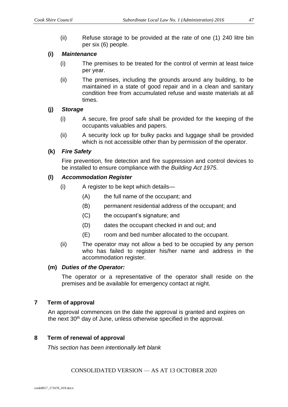(ii) Refuse storage to be provided at the rate of one (1) 240 litre bin per six (6) people.

### **(i)** *Maintenance*

- (i) The premises to be treated for the control of vermin at least twice per year.
- (ii) The premises, including the grounds around any building, to be maintained in a state of good repair and in a clean and sanitary condition free from accumulated refuse and waste materials at all times.

### **(j)** *Storage*

- (i) A secure, fire proof safe shall be provided for the keeping of the occupants valuables and papers.
- (ii) A security lock up for bulky packs and luggage shall be provided which is not accessible other than by permission of the operator.

### **(k)** *Fire Safety*

Fire prevention, fire detection and fire suppression and control devices to be installed to ensure compliance with the *Building Act 1975*.

#### **(l)** *Accommodation Register*

- (i) A register to be kept which details—
	- (A) the full name of the occupant; and
	- (B) permanent residential address of the occupant; and
	- (C) the occupant's signature; and
	- (D) dates the occupant checked in and out; and
	- (E) room and bed number allocated to the occupant.
- (ii) The operator may not allow a bed to be occupied by any person who has failed to register his/her name and address in the accommodation register.

#### **(m)** *Duties of the Operator:*

The operator or a representative of the operator shall reside on the premises and be available for emergency contact at night.

## **7 Term of approval**

An approval commences on the date the approval is granted and expires on the next 30<sup>th</sup> day of June, unless otherwise specified in the approval.

#### **8 Term of renewal of approval**

*This section has been intentionally left blank*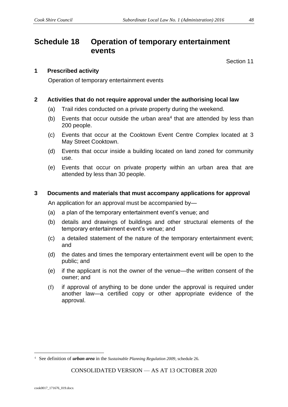# **Schedule 18 Operation of temporary entertainment events**

Section 11

#### **1 Prescribed activity**

Operation of temporary entertainment events

#### **2 Activities that do not require approval under the authorising local law**

- (a) Trail rides conducted on a private property during the weekend.
- (b) Events that occur outside the urban area<sup>4</sup> that are attended by less than 200 people.
- (c) Events that occur at the Cooktown Event Centre Complex located at 3 May Street Cooktown.
- (d) Events that occur inside a building located on land zoned for community use.
- (e) Events that occur on private property within an urban area that are attended by less than 30 people.

#### **3 Documents and materials that must accompany applications for approval**

An application for an approval must be accompanied by—

- (a) a plan of the temporary entertainment event's venue; and
- (b) details and drawings of buildings and other structural elements of the temporary entertainment event's venue; and
- (c) a detailed statement of the nature of the temporary entertainment event; and
- (d) the dates and times the temporary entertainment event will be open to the public; and
- (e) if the applicant is not the owner of the venue—the written consent of the owner; and
- (f) if approval of anything to be done under the approval is required under another law—a certified copy or other appropriate evidence of the approval.

<sup>4</sup> See definition of *urban area* in the *Sustainable Planning Regulation 2009*, schedule 26.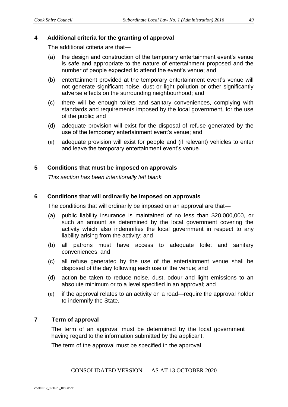#### **4 Additional criteria for the granting of approval**

The additional criteria are that—

- (a) the design and construction of the temporary entertainment event's venue is safe and appropriate to the nature of entertainment proposed and the number of people expected to attend the event's venue; and
- (b) entertainment provided at the temporary entertainment event's venue will not generate significant noise, dust or light pollution or other significantly adverse effects on the surrounding neighbourhood; and
- (c) there will be enough toilets and sanitary conveniences, complying with standards and requirements imposed by the local government, for the use of the public; and
- (d) adequate provision will exist for the disposal of refuse generated by the use of the temporary entertainment event's venue; and
- (e) adequate provision will exist for people and (if relevant) vehicles to enter and leave the temporary entertainment event's venue.

#### **5 Conditions that must be imposed on approvals**

*This section has been intentionally left blank*

#### **6 Conditions that will ordinarily be imposed on approvals**

The conditions that will ordinarily be imposed on an approval are that—

- (a) public liability insurance is maintained of no less than \$20,000,000, or such an amount as determined by the local government covering the activity which also indemnifies the local government in respect to any liability arising from the activity; and
- (b) all patrons must have access to adequate toilet and sanitary conveniences; and
- (c) all refuse generated by the use of the entertainment venue shall be disposed of the day following each use of the venue; and
- (d) action be taken to reduce noise, dust, odour and light emissions to an absolute minimum or to a level specified in an approval; and
- (e) if the approval relates to an activity on a road—require the approval holder to indemnify the State.

#### **7 Term of approval**

The term of an approval must be determined by the local government having regard to the information submitted by the applicant.

The term of the approval must be specified in the approval.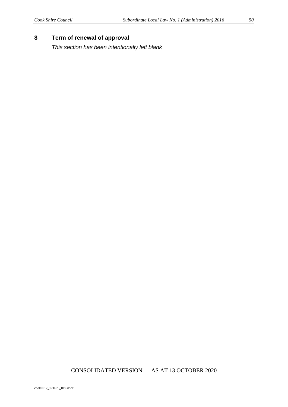## **8 Term of renewal of approval**

*This section has been intentionally left blank*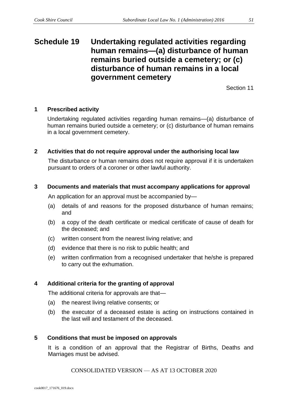# **Schedule 19 Undertaking regulated activities regarding human remains—(a) disturbance of human remains buried outside a cemetery; or (c) disturbance of human remains in a local government cemetery**

Section 11

### **1 Prescribed activity**

Undertaking regulated activities regarding human remains—(a) disturbance of human remains buried outside a cemetery; or (c) disturbance of human remains in a local government cemetery.

#### **2 Activities that do not require approval under the authorising local law**

The disturbance or human remains does not require approval if it is undertaken pursuant to orders of a coroner or other lawful authority.

#### **3 Documents and materials that must accompany applications for approval**

An application for an approval must be accompanied by—

- (a) details of and reasons for the proposed disturbance of human remains; and
- (b) a copy of the death certificate or medical certificate of cause of death for the deceased; and
- (c) written consent from the nearest living relative; and
- (d) evidence that there is no risk to public health; and
- (e) written confirmation from a recognised undertaker that he/she is prepared to carry out the exhumation.

## **4 Additional criteria for the granting of approval**

The additional criteria for approvals are that—

- (a) the nearest living relative consents; or
- (b) the executor of a deceased estate is acting on instructions contained in the last will and testament of the deceased.

#### **5 Conditions that must be imposed on approvals**

It is a condition of an approval that the Registrar of Births, Deaths and Marriages must be advised.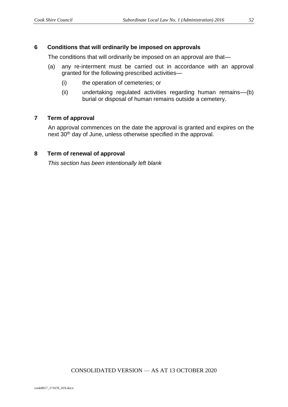### **6 Conditions that will ordinarily be imposed on approvals**

The conditions that will ordinarily be imposed on an approval are that—

- (a) any re-interment must be carried out in accordance with an approval granted for the following prescribed activities—
	- (i) the operation of cemeteries; or
	- (ii) undertaking regulated activities regarding human remains––(b) burial or disposal of human remains outside a cemetery.

### **7 Term of approval**

An approval commences on the date the approval is granted and expires on the next 30<sup>th</sup> day of June, unless otherwise specified in the approval.

#### **8 Term of renewal of approval**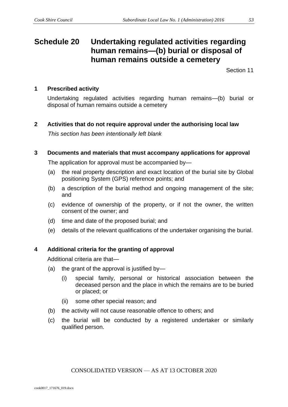# **Schedule 20 Undertaking regulated activities regarding human remains—(b) burial or disposal of human remains outside a cemetery**

Section 11

## **1 Prescribed activity**

Undertaking regulated activities regarding human remains—(b) burial or disposal of human remains outside a cemetery

### **2 Activities that do not require approval under the authorising local law**

*This section has been intentionally left blank*

### **3 Documents and materials that must accompany applications for approval**

The application for approval must be accompanied by—

- (a) the real property description and exact location of the burial site by Global positioning System (GPS) reference points; and
- (b) a description of the burial method and ongoing management of the site; and
- (c) evidence of ownership of the property, or if not the owner, the written consent of the owner; and
- (d) time and date of the proposed burial; and
- (e) details of the relevant qualifications of the undertaker organising the burial.

## **4 Additional criteria for the granting of approval**

Additional criteria are that—

- (a) the grant of the approval is justified by—
	- (i) special family, personal or historical association between the deceased person and the place in which the remains are to be buried or placed; or
	- (ii) some other special reason; and
- (b) the activity will not cause reasonable offence to others; and
- (c) the burial will be conducted by a registered undertaker or similarly qualified person.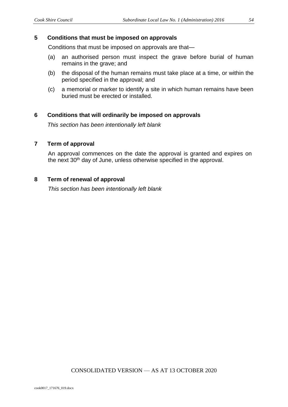#### **5 Conditions that must be imposed on approvals**

Conditions that must be imposed on approvals are that—

- (a) an authorised person must inspect the grave before burial of human remains in the grave; and
- (b) the disposal of the human remains must take place at a time, or within the period specified in the approval; and
- (c) a memorial or marker to identify a site in which human remains have been buried must be erected or installed.

#### **6 Conditions that will ordinarily be imposed on approvals**

*This section has been intentionally left blank*

#### **7 Term of approval**

An approval commences on the date the approval is granted and expires on the next 30<sup>th</sup> day of June, unless otherwise specified in the approval.

#### **8 Term of renewal of approval**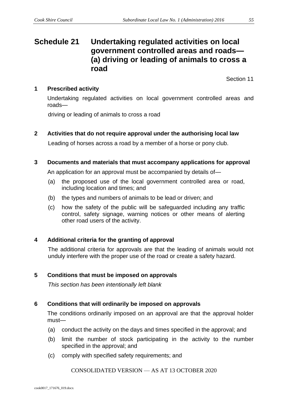# **Schedule 21 Undertaking regulated activities on local government controlled areas and roads— (a) driving or leading of animals to cross a road**

Section 11

### **1 Prescribed activity**

Undertaking regulated activities on local government controlled areas and roads—

driving or leading of animals to cross a road

## **2 Activities that do not require approval under the authorising local law**

Leading of horses across a road by a member of a horse or pony club.

#### **3 Documents and materials that must accompany applications for approval**

An application for an approval must be accompanied by details of—

- (a) the proposed use of the local government controlled area or road, including location and times; and
- (b) the types and numbers of animals to be lead or driven; and
- (c) how the safety of the public will be safeguarded including any traffic control, safety signage, warning notices or other means of alerting other road users of the activity.

## **4 Additional criteria for the granting of approval**

The additional criteria for approvals are that the leading of animals would not unduly interfere with the proper use of the road or create a safety hazard.

#### **5 Conditions that must be imposed on approvals**

*This section has been intentionally left blank*

#### **6 Conditions that will ordinarily be imposed on approvals**

The conditions ordinarily imposed on an approval are that the approval holder must—

- (a) conduct the activity on the days and times specified in the approval; and
- (b) limit the number of stock participating in the activity to the number specified in the approval; and
- (c) comply with specified safety requirements; and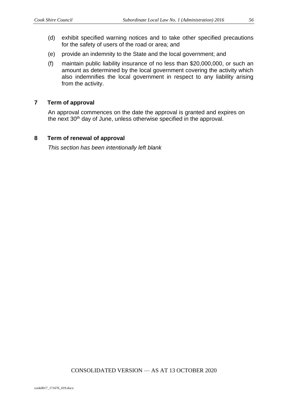- (d) exhibit specified warning notices and to take other specified precautions for the safety of users of the road or area; and
- (e) provide an indemnity to the State and the local government; and
- (f) maintain public liability insurance of no less than \$20,000,000, or such an amount as determined by the local government covering the activity which also indemnifies the local government in respect to any liability arising from the activity.

### **7 Term of approval**

An approval commences on the date the approval is granted and expires on the next 30<sup>th</sup> day of June, unless otherwise specified in the approval.

#### **8 Term of renewal of approval**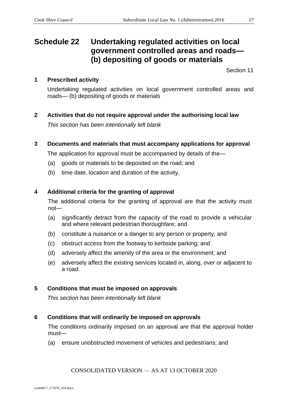# **Schedule 22 Undertaking regulated activities on local government controlled areas and roads— (b) depositing of goods or materials**

Section 11

# **1 Prescribed activity**

Undertaking regulated activities on local government controlled areas and roads— (b) depositing of goods or materials

# **2 Activities that do not require approval under the authorising local law**

*This section has been intentionally left blank* 

**3 Documents and materials that must accompany applications for approval**

The application for approval must be accompanied by details of the—

- (a) goods or materials to be deposited on the road; and
- (b) time date, location and duration of the activity.

# **4 Additional criteria for the granting of approval**

The additional criteria for the granting of approval are that the activity must not—

- (a) significantly detract from the capacity of the road to provide a vehicular and where relevant pedestrian thoroughfare; and
- (b) constitute a nuisance or a danger to any person or property; and
- (c) obstruct access from the footway to kerbside parking; and
- (d) adversely affect the amenity of the area or the environment; and
- (e) adversely affect the existing services located in, along, over or adjacent to a road.

# **5 Conditions that must be imposed on approvals**

*This section has been intentionally left blank* 

# **6 Conditions that will ordinarily be imposed on approvals**

The conditions ordinarily imposed on an approval are that the approval holder must—

(a) ensure unobstructed movement of vehicles and pedestrians; and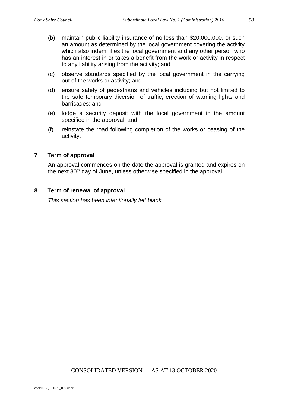- (b) maintain public liability insurance of no less than \$20,000,000, or such an amount as determined by the local government covering the activity which also indemnifies the local government and any other person who has an interest in or takes a benefit from the work or activity in respect to any liability arising from the activity; and
- (c) observe standards specified by the local government in the carrying out of the works or activity; and
- (d) ensure safety of pedestrians and vehicles including but not limited to the safe temporary diversion of traffic, erection of warning lights and barricades; and
- (e) lodge a security deposit with the local government in the amount specified in the approval; and
- (f) reinstate the road following completion of the works or ceasing of the activity.

#### **7 Term of approval**

An approval commences on the date the approval is granted and expires on the next 30<sup>th</sup> day of June, unless otherwise specified in the approval.

#### **8 Term of renewal of approval**

*This section has been intentionally left blank*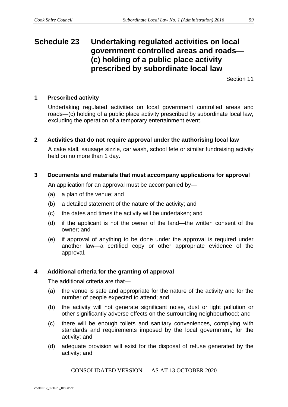# **Schedule 23 Undertaking regulated activities on local government controlled areas and roads— (c) holding of a public place activity prescribed by subordinate local law**

Section 11

#### **1 Prescribed activity**

Undertaking regulated activities on local government controlled areas and roads—(c) holding of a public place activity prescribed by subordinate local law, excluding the operation of a temporary entertainment event.

#### **2 Activities that do not require approval under the authorising local law**

A cake stall, sausage sizzle, car wash, school fete or similar fundraising activity held on no more than 1 day.

#### **3 Documents and materials that must accompany applications for approval**

An application for an approval must be accompanied by—

- (a) a plan of the venue; and
- (b) a detailed statement of the nature of the activity; and
- (c) the dates and times the activity will be undertaken; and
- (d) if the applicant is not the owner of the land—the written consent of the owner; and
- (e) if approval of anything to be done under the approval is required under another law—a certified copy or other appropriate evidence of the approval.

#### **4 Additional criteria for the granting of approval**

The additional criteria are that—

- (a) the venue is safe and appropriate for the nature of the activity and for the number of people expected to attend; and
- (b) the activity will not generate significant noise, dust or light pollution or other significantly adverse effects on the surrounding neighbourhood; and
- (c) there will be enough toilets and sanitary conveniences, complying with standards and requirements imposed by the local government, for the activity; and
- (d) adequate provision will exist for the disposal of refuse generated by the activity; and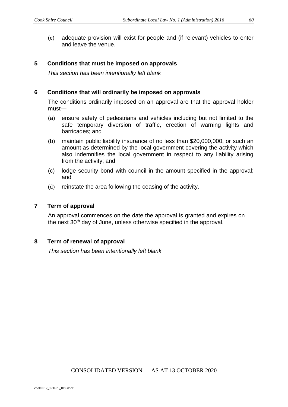(e) adequate provision will exist for people and (if relevant) vehicles to enter and leave the venue.

### **5 Conditions that must be imposed on approvals**

*This section has been intentionally left blank*

#### **6 Conditions that will ordinarily be imposed on approvals**

The conditions ordinarily imposed on an approval are that the approval holder must—

- (a) ensure safety of pedestrians and vehicles including but not limited to the safe temporary diversion of traffic, erection of warning lights and barricades; and
- (b) maintain public liability insurance of no less than \$20,000,000, or such an amount as determined by the local government covering the activity which also indemnifies the local government in respect to any liability arising from the activity; and
- (c) lodge security bond with council in the amount specified in the approval; and
- (d) reinstate the area following the ceasing of the activity.

#### **7 Term of approval**

An approval commences on the date the approval is granted and expires on the next 30<sup>th</sup> day of June, unless otherwise specified in the approval.

## **8 Term of renewal of approval**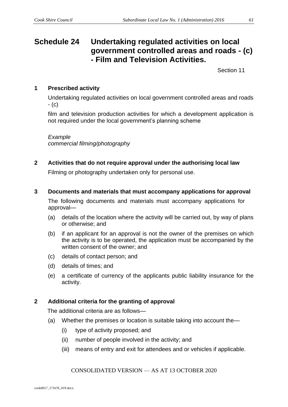# **Schedule 24 Undertaking regulated activities on local government controlled areas and roads - (c) - Film and Television Activities.**

Section 11

## **1 Prescribed activity**

Undertaking regulated activities on local government controlled areas and roads - (c)

film and television production activities for which a development application is not required under the local government's planning scheme

#### *Example*

*commercial filming/photography*

**2 Activities that do not require approval under the authorising local law**

Filming or photography undertaken only for personal use.

**3 Documents and materials that must accompany applications for approval**

The following documents and materials must accompany applications for approval—

- (a) details of the location where the activity will be carried out, by way of plans or otherwise; and
- (b) if an applicant for an approval is not the owner of the premises on which the activity is to be operated, the application must be accompanied by the written consent of the owner; and
- (c) details of contact person; and
- (d) details of times; and
- (e) a certificate of currency of the applicants public liability insurance for the activity.

## **2 Additional criteria for the granting of approval**

The additional criteria are as follows—

- (a) Whether the premises or location is suitable taking into account the—
	- (i) type of activity proposed; and
	- (ii) number of people involved in the activity; and
	- (iii) means of entry and exit for attendees and or vehicles if applicable.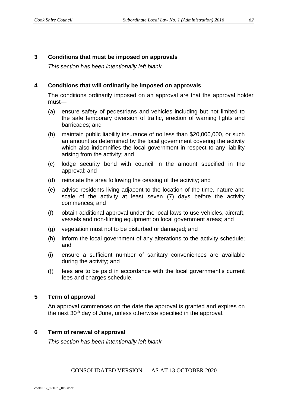## **3 Conditions that must be imposed on approvals**

*This section has been intentionally left blank*

### **4 Conditions that will ordinarily be imposed on approvals**

The conditions ordinarily imposed on an approval are that the approval holder must—

- (a) ensure safety of pedestrians and vehicles including but not limited to the safe temporary diversion of traffic, erection of warning lights and barricades; and
- (b) maintain public liability insurance of no less than \$20,000,000, or such an amount as determined by the local government covering the activity which also indemnifies the local government in respect to any liability arising from the activity; and
- (c) lodge security bond with council in the amount specified in the approval; and
- (d) reinstate the area following the ceasing of the activity; and
- (e) advise residents living adjacent to the location of the time, nature and scale of the activity at least seven (7) days before the activity commences; and
- (f) obtain additional approval under the local laws to use vehicles, aircraft, vessels and non-filming equipment on local government areas; and
- (g) vegetation must not to be disturbed or damaged; and
- (h) inform the local government of any alterations to the activity schedule; and
- (i) ensure a sufficient number of sanitary conveniences are available during the activity; and
- (j) fees are to be paid in accordance with the local government's current fees and charges schedule.

#### **5 Term of approval**

An approval commences on the date the approval is granted and expires on the next 30<sup>th</sup> day of June, unless otherwise specified in the approval.

#### **6 Term of renewal of approval**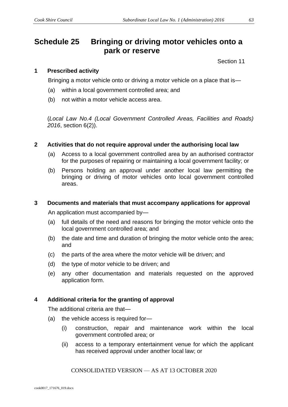# **Schedule 25 Bringing or driving motor vehicles onto a park or reserve**

Section 11

### **1 Prescribed activity**

Bringing a motor vehicle onto or driving a motor vehicle on a place that is—

- (a) within a local government controlled area; and
- (b) not within a motor vehicle access area.

(*Local Law No.4 (Local Government Controlled Areas, Facilities and Roads) 2016*, section 6(2)).

#### **2 Activities that do not require approval under the authorising local law**

- (a) Access to a local government controlled area by an authorised contractor for the purposes of repairing or maintaining a local government facility; or
- (b) Persons holding an approval under another local law permitting the bringing or driving of motor vehicles onto local government controlled areas.

#### **3 Documents and materials that must accompany applications for approval**

An application must accompanied by—

- (a) full details of the need and reasons for bringing the motor vehicle onto the local government controlled area; and
- (b) the date and time and duration of bringing the motor vehicle onto the area; and
- (c) the parts of the area where the motor vehicle will be driven; and
- (d) the type of motor vehicle to be driven; and
- (e) any other documentation and materials requested on the approved application form.

#### **4 Additional criteria for the granting of approval**

The additional criteria are that—

- (a) the vehicle access is required for—
	- (i) construction, repair and maintenance work within the local government controlled area; or
	- (ii) access to a temporary entertainment venue for which the applicant has received approval under another local law; or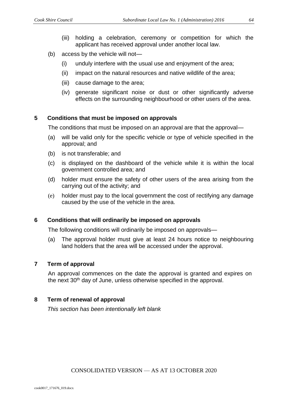- (iii) holding a celebration, ceremony or competition for which the applicant has received approval under another local law.
- (b) access by the vehicle will not—
	- (i) unduly interfere with the usual use and enjoyment of the area;
	- (ii) impact on the natural resources and native wildlife of the area;
	- (iii) cause damage to the area;
	- (iv) generate significant noise or dust or other significantly adverse effects on the surrounding neighbourhood or other users of the area.

### **5 Conditions that must be imposed on approvals**

The conditions that must be imposed on an approval are that the approval—

- (a) will be valid only for the specific vehicle or type of vehicle specified in the approval; and
- (b) is not transferable; and
- (c) is displayed on the dashboard of the vehicle while it is within the local government controlled area; and
- (d) holder must ensure the safety of other users of the area arising from the carrying out of the activity; and
- (e) holder must pay to the local government the cost of rectifying any damage caused by the use of the vehicle in the area.

## **6 Conditions that will ordinarily be imposed on approvals**

The following conditions will ordinarily be imposed on approvals—

(a) The approval holder must give at least 24 hours notice to neighbouring land holders that the area will be accessed under the approval.

#### **7 Term of approval**

An approval commences on the date the approval is granted and expires on the next 30<sup>th</sup> day of June, unless otherwise specified in the approval.

#### **8 Term of renewal of approval**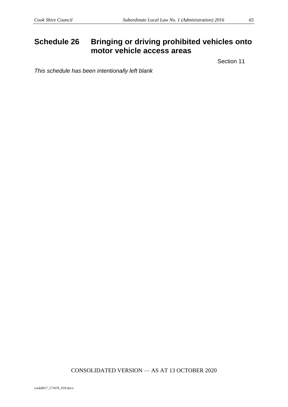# **Schedule 26 Bringing or driving prohibited vehicles onto motor vehicle access areas**

Section 11

*This schedule has been intentionally left blank*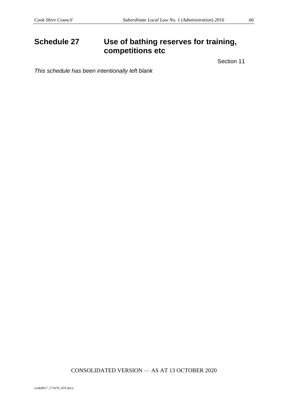# **Schedule 27 Use of bathing reserves for training, competitions etc**

Section 11

*This schedule has been intentionally left blank*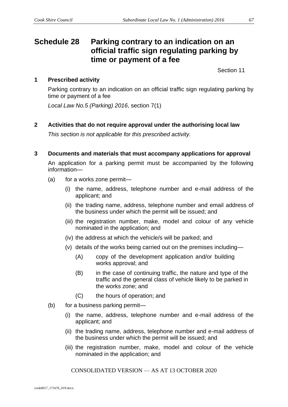# **Schedule 28 Parking contrary to an indication on an official traffic sign regulating parking by time or payment of a fee**

Section 11

# **1 Prescribed activity**

Parking contrary to an indication on an official traffic sign regulating parking by time or payment of a fee

*Local Law No.5 (Parking) 2016*, section 7(1)

**2 Activities that do not require approval under the authorising local law**

*This section is not applicable for this prescribed activity.*

**3 Documents and materials that must accompany applications for approval**

An application for a parking permit must be accompanied by the following information—

- (a) for a works zone permit—
	- (i) the name, address, telephone number and e-mail address of the applicant; and
	- (ii) the trading name, address, telephone number and email address of the business under which the permit will be issued; and
	- (iii) the registration number, make, model and colour of any vehicle nominated in the application; and
	- (iv) the address at which the vehicle/s will be parked; and
	- (v) details of the works being carried out on the premises including—
		- (A) copy of the development application and/or building works approval; and
		- (B) in the case of continuing traffic, the nature and type of the traffic and the general class of vehicle likely to be parked in the works zone; and
		- (C) the hours of operation; and
- (b) for a business parking permit—
	- (i) the name, address, telephone number and e-mail address of the applicant; and
	- (ii) the trading name, address, telephone number and e-mail address of the business under which the permit will be issued; and
	- (iii) the registration number, make, model and colour of the vehicle nominated in the application; and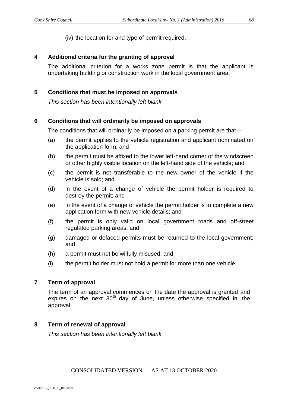(iv) the location for and type of permit required.

#### **4 Additional criteria for the granting of approval**

The additional criterion for a works zone permit is that the applicant is undertaking building or construction work in the local government area.

### **5 Conditions that must be imposed on approvals**

*This section has been intentionally left blank*

## **6 Conditions that will ordinarily be imposed on approvals**

The conditions that will ordinarily be imposed on a parking permit are that—

- (a) the permit applies to the vehicle registration and applicant nominated on the application form; and
- (b) the permit must be affixed to the lower left-hand corner of the windscreen or other highly visible location on the left-hand side of the vehicle; and
- (c) the permit is not transferable to the new owner of the vehicle if the vehicle is sold; and
- (d) in the event of a change of vehicle the permit holder is required to destroy the permit; and
- (e) in the event of a change of vehicle the permit holder is to complete a new application form with new vehicle details; and
- (f) the permit is only valid on local government roads and off-street regulated parking areas; and
- (g) damaged or defaced permits must be returned to the local government; and
- (h) a permit must not be wilfully misused; and
- (i) the permit holder must not hold a permit for more than one vehicle.

#### **7 Term of approval**

The term of an approval commences on the date the approval is granted and expires on the next  $30<sup>th</sup>$  day of June, unless otherwise specified in the approval.

#### **8 Term of renewal of approval**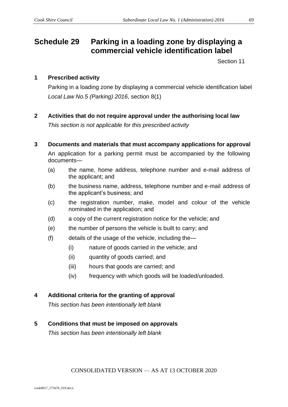# **Schedule 29 Parking in a loading zone by displaying a commercial vehicle identification label**

Section 11

## **1 Prescribed activity**

Parking in a loading zone by displaying a commercial vehicle identification label *Local Law No.5 (Parking) 2016*, section 8(1)

**2 Activities that do not require approval under the authorising local law**

*This section is not applicable for this prescribed activity*

- **3 Documents and materials that must accompany applications for approval** An application for a parking permit must be accompanied by the following documents—
	- (a) the name, home address, telephone number and e-mail address of the applicant; and
	- (b) the business name, address, telephone number and e-mail address of the applicant's business; and
	- (c) the registration number, make, model and colour of the vehicle nominated in the application; and
	- (d) a copy of the current registration notice for the vehicle; and
	- (e) the number of persons the vehicle is built to carry; and
	- (f) details of the usage of the vehicle, including the—
		- (i) nature of goods carried in the vehicle; and
		- (ii) quantity of goods carried; and
		- (iii) hours that goods are carried; and
		- (iv) frequency with which goods will be loaded/unloaded.

## **4 Additional criteria for the granting of approval**

*This section has been intentionally left blank*

## **5 Conditions that must be imposed on approvals**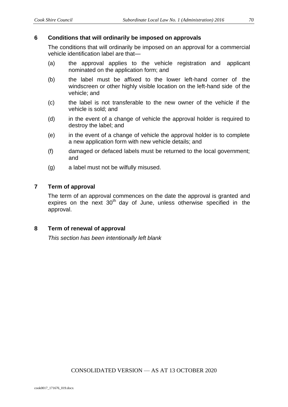#### **6 Conditions that will ordinarily be imposed on approvals**

The conditions that will ordinarily be imposed on an approval for a commercial vehicle identification label are that—

- (a) the approval applies to the vehicle registration and applicant nominated on the application form; and
- (b) the label must be affixed to the lower left-hand corner of the windscreen or other highly visible location on the left-hand side of the vehicle; and
- (c) the label is not transferable to the new owner of the vehicle if the vehicle is sold; and
- (d) in the event of a change of vehicle the approval holder is required to destroy the label; and
- (e) in the event of a change of vehicle the approval holder is to complete a new application form with new vehicle details; and
- (f) damaged or defaced labels must be returned to the local government; and
- (g) a label must not be wilfully misused.

## **7 Term of approval**

The term of an approval commences on the date the approval is granted and expires on the next  $30<sup>th</sup>$  day of June, unless otherwise specified in the approval.

CONSOLIDATED VERSION — AS AT 13 OCTOBER 2020

## **8 Term of renewal of approval**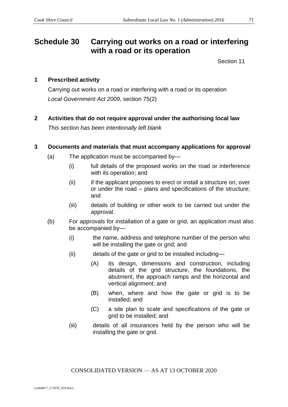# **Schedule 30 Carrying out works on a road or interfering with a road or its operation**

Section 11

### **1 Prescribed activity**

Carrying out works on a road or interfering with a road or its operation *Local Government Act 2009,* section 75(2)

**2 Activities that do not require approval under the authorising local law** *This section has been intentionally left blank*

#### **3 Documents and materials that must accompany applications for approval**

- (a) The application must be accompanied by—
	- (i) full details of the proposed works on the road or interference with its operation; and
	- (ii) if the applicant proposes to erect or install a structure on, over or under the road – plans and specifications of the structure; and
	- (iii) details of building or other work to be carried out under the approval.
- (b) For approvals for installation of a gate or grid, an application must also be accompanied by—
	- (i) the name, address and telephone number of the person who will be installing the gate or grid; and
	- (ii) details of the gate or grid to be installed including—
		- (A) its design, dimensions and construction, including details of the grid structure, the foundations, the abutment, the approach ramps and the horizontal and vertical alignment; and
		- (B) when, where and how the gate or grid is to be installed; and
		- (C) a site plan to scale and specifications of the gate or grid to be installed; and
	- (iii) details of all insurances held by the person who will be installing the gate or grid.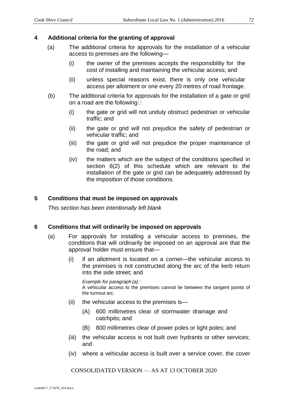### **4 Additional criteria for the granting of approval**

- (a) The additional criteria for approvals for the installation of a vehicular access to premises are the following—
	- (i) the owner of the premises accepts the responsibility for the cost of installing and maintaining the vehicular access; and
	- (ii) unless special reasons exist, there is only one vehicular access per allotment or one every 20 metres of road frontage.
- (b) The additional criteria for approvals for the installation of a gate or grid on a road are the following
	- (i) the gate or grid will not unduly obstruct pedestrian or vehicular traffic; and
	- (ii) the gate or grid will not prejudice the safety of pedestrian or vehicular traffic; and
	- (iii) the gate or grid will not prejudice the proper maintenance of the road; and
	- (iv) the matters which are the subject of the conditions specified in section 6(2) of this schedule which are relevant to the installation of the gate or grid can be adequately addressed by the imposition of those conditions.

## **5 Conditions that must be imposed on approvals**

*This section has been intentionally left blank*

#### **6 Conditions that will ordinarily be imposed on approvals**

- (a) For approvals for installing a vehicular access to premises, the conditions that will ordinarily be imposed on an approval are that the approval holder must ensure that—
	- (i) if an allotment is located on a corner—the vehicular access to the premises is not constructed along the arc of the kerb return into the side street; and

*Example for paragraph (a)* A vehicular access to the premises cannot lie between the tangent points of the turnout arc.

- (ii) the vehicular access to the premises is—
	- (A) 600 millimetres clear of stormwater drainage and catchpits; and
	- (B) 800 millimetres clear of power poles or light poles; and
- (iii) the vehicular access is not built over hydrants or other services; and
- (iv) where a vehicular access is built over a service cover, the cover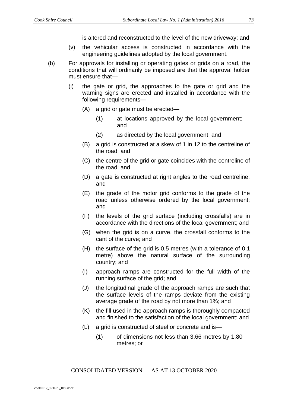is altered and reconstructed to the level of the new driveway; and

- (v) the vehicular access is constructed in accordance with the engineering guidelines adopted by the local government.
- (b) For approvals for installing or operating gates or grids on a road, the conditions that will ordinarily be imposed are that the approval holder must ensure that—
	- (i) the gate or grid, the approaches to the gate or grid and the warning signs are erected and installed in accordance with the following requirements—
		- (A) a grid or gate must be erected—
			- (1) at locations approved by the local government; and
			- (2) as directed by the local government; and
		- (B) a grid is constructed at a skew of 1 in 12 to the centreline of the road; and
		- (C) the centre of the grid or gate coincides with the centreline of the road; and
		- (D) a gate is constructed at right angles to the road centreline; and
		- (E) the grade of the motor grid conforms to the grade of the road unless otherwise ordered by the local government; and
		- (F) the levels of the grid surface (including crossfalls) are in accordance with the directions of the local government; and
		- (G) when the grid is on a curve, the crossfall conforms to the cant of the curve; and
		- (H) the surface of the grid is 0.5 metres (with a tolerance of 0.1 metre) above the natural surface of the surrounding country; and
		- (I) approach ramps are constructed for the full width of the running surface of the grid; and
		- (J) the longitudinal grade of the approach ramps are such that the surface levels of the ramps deviate from the existing average grade of the road by not more than 1%; and
		- (K) the fill used in the approach ramps is thoroughly compacted and finished to the satisfaction of the local government; and
		- (L) a grid is constructed of steel or concrete and is—
			- (1) of dimensions not less than 3.66 metres by 1.80 metres; or

CONSOLIDATED VERSION — AS AT 13 OCTOBER 2020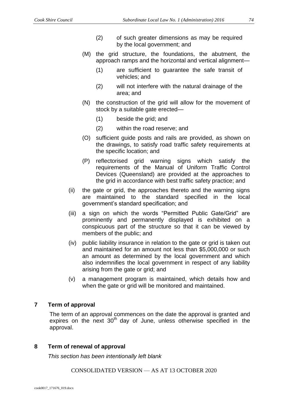- (2) of such greater dimensions as may be required by the local government; and
- (M) the grid structure, the foundations, the abutment, the approach ramps and the horizontal and vertical alignment—
	- (1) are sufficient to guarantee the safe transit of vehicles; and
	- (2) will not interfere with the natural drainage of the area; and
- (N) the construction of the grid will allow for the movement of stock by a suitable gate erected—
	- (1) beside the grid; and
	- (2) within the road reserve; and
- (O) sufficient guide posts and rails are provided, as shown on the drawings, to satisfy road traffic safety requirements at the specific location; and
- (P) reflectorised grid warning signs which satisfy the requirements of the Manual of Uniform Traffic Control Devices (Queensland) are provided at the approaches to the grid in accordance with best traffic safety practice; and
- (ii) the gate or grid, the approaches thereto and the warning signs are maintained to the standard specified in the local government's standard specification; and
- (iii) a sign on which the words "Permitted Public Gate/Grid" are prominently and permanently displayed is exhibited on a conspicuous part of the structure so that it can be viewed by members of the public; and
- (iv) public liability insurance in relation to the gate or grid is taken out and maintained for an amount not less than \$5,000,000 or such an amount as determined by the local government and which also indemnifies the local government in respect of any liability arising from the gate or grid; and
- (v) a management program is maintained, which details how and when the gate or grid will be monitored and maintained.

### **7 Term of approval**

The term of an approval commences on the date the approval is granted and expires on the next 30<sup>th</sup> day of June, unless otherwise specified in the approval.

### **8 Term of renewal of approval**

*This section has been intentionally left blank*

#### CONSOLIDATED VERSION — AS AT 13 OCTOBER 2020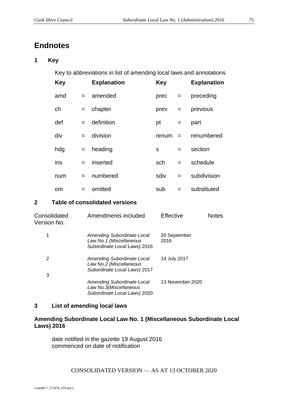# **Endnotes**

### **1 Key**

Key to abbreviations in list of amending local laws and annotations

| <b>Key</b>    |     | <b>Explanation</b> | <b>Key</b> |     | <b>Explanation</b> |
|---------------|-----|--------------------|------------|-----|--------------------|
| amd           |     | $=$ amended        | prec       | $=$ | preceding          |
| ch            |     | $=$ chapter        | prev       | $=$ | previous           |
| def           | $=$ | definition         | pt         | $=$ | part               |
| div           | $=$ | division           | renum      | $=$ | renumbered         |
| hdg           | $=$ | heading            | S          | $=$ | section            |
| ins           | $=$ | inserted           | sch        | $=$ | schedule           |
| num           | $=$ | numbered           | sdiv       | $=$ | subdivision        |
| <sub>om</sub> | $=$ | omitted            | sub        | $=$ | substituted        |

## **2 Table of consolidated versions**

| Consolidated<br>Version No. | Amendments included                                                                   | Effective            | Notes |
|-----------------------------|---------------------------------------------------------------------------------------|----------------------|-------|
| 1                           | Amending Subordinate Local<br>Law No.1 (Miscellaneous<br>Subordinate Local Laws) 2016 | 20 September<br>2016 |       |
| 2<br>3                      | Amending Subordinate Local<br>Law No.2 (Miscellaneous<br>Subordinate Local Laws) 2017 | 14 July 2017         |       |
|                             | Amending Subordinate Local<br>Law No.3(Miscellaneous<br>Subordinate Local Laws) 2020  | 13 November 2020     |       |

## **3 List of amending local laws**

### **Amending Subordinate Local Law No. 1 (Miscellaneous Subordinate Local Laws) 2016**

date notified in the gazette 19 August 2016 commenced on date of notification

CONSOLIDATED VERSION — AS AT 13 OCTOBER 2020